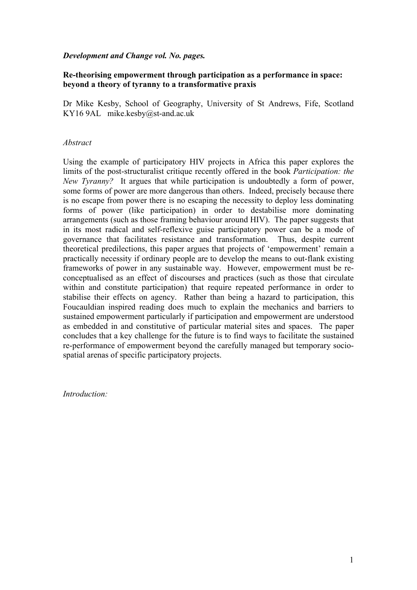# *Development and Change vol. No. pages.*

# **Re-theorising empowerment through participation as a performance in space: beyond a theory of tyranny to a transformative praxis**

Dr Mike Kesby, School of Geography, University of St Andrews, Fife, Scotland KY16 9AL mike.kesby@st-and.ac.uk

# *Abstract*

Using the example of participatory HIV projects in Africa this paper explores the limits of the post-structuralist critique recently offered in the book *Participation: the New Tyranny?* It argues that while participation is undoubtedly a form of power, some forms of power are more dangerous than others. Indeed, precisely because there is no escape from power there is no escaping the necessity to deploy less dominating forms of power (like participation) in order to destabilise more dominating arrangements (such as those framing behaviour around HIV). The paper suggests that in its most radical and self-reflexive guise participatory power can be a mode of governance that facilitates resistance and transformation. Thus, despite current theoretical predilections, this paper argues that projects of 'empowerment' remain a practically necessity if ordinary people are to develop the means to out-flank existing frameworks of power in any sustainable way. However, empowerment must be reconceptualised as an effect of discourses and practices (such as those that circulate within and constitute participation) that require repeated performance in order to stabilise their effects on agency. Rather than being a hazard to participation, this Foucauldian inspired reading does much to explain the mechanics and barriers to sustained empowerment particularly if participation and empowerment are understood as embedded in and constitutive of particular material sites and spaces. The paper concludes that a key challenge for the future is to find ways to facilitate the sustained re-performance of empowerment beyond the carefully managed but temporary sociospatial arenas of specific participatory projects.

*Introduction:*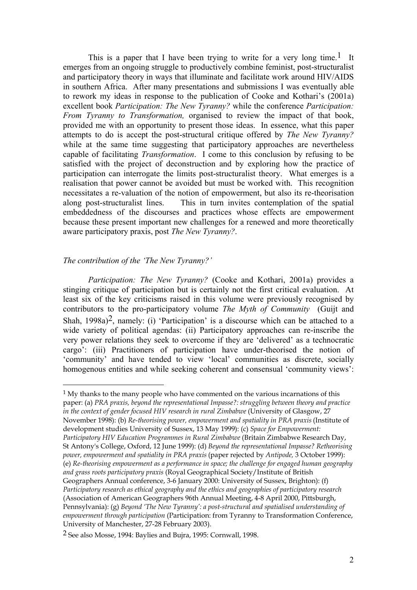This is a paper that I have been trying to write for a very long time.<sup>1</sup> It emerges from an ongoing struggle to productively combine feminist, post-structuralist and participatory theory in ways that illuminate and facilitate work around HIV/AIDS in southern Africa. After many presentations and submissions I was eventually able to rework my ideas in response to the publication of Cooke and Kothari's (2001a) excellent book *Participation: The New Tyranny?* while the conference *Participation: From Tyranny to Transformation,* organised to review the impact of that book, provided me with an opportunity to present those ideas. In essence, what this paper attempts to do is accept the post-structural critique offered by *The New Tyranny?* while at the same time suggesting that participatory approaches are nevertheless capable of facilitating *Transformation*. I come to this conclusion by refusing to be satisfied with the project of deconstruction and by exploring how the practice of participation can interrogate the limits post-structuralist theory. What emerges is a realisation that power cannot be avoided but must be worked with. This recognition necessitates a re-valuation of the notion of empowerment, but also its re-theorisation along post-structuralist lines. This in turn invites contemplation of the spatial embeddedness of the discourses and practices whose effects are empowerment because these present important new challenges for a renewed and more theoretically aware participatory praxis, post *The New Tyranny?*.

## *The contribution of the 'The New Tyranny?'*

<u>.</u>

*Participation: The New Tyranny?* (Cooke and Kothari, 2001a) provides a stinging critique of participation but is certainly not the first critical evaluation. At least six of the key criticisms raised in this volume were previously recognised by contributors to the pro-participatory volume *The Myth of Community* (Guijt and Shah,  $1998a^2$ , namely: (i) 'Participation' is a discourse which can be attached to a wide variety of political agendas: (ii) Participatory approaches can re-inscribe the very power relations they seek to overcome if they are 'delivered' as a technocratic cargo': (iii) Practitioners of participation have under-theorised the notion of 'community' and have tended to view 'local' communities as discrete, socially homogenous entities and while seeking coherent and consensual 'community views':

<sup>1</sup> My thanks to the many people who have commented on the various incarnations of this paper: (a) *PRA praxis, beyond the representational Impasse?: struggling between theory and practice in the context of gender focused HIV research in rural Zimbabwe* (University of Glasgow, 27 November 1998): (b) *Re-theorising power, empowerment and spatiality in PRA praxis* (Institute of development studies University of Sussex, 13 May 1999): (c) *Space for Empowerment: Participatory HIV Education Programmes in Rural Zimbabwe* (Britain Zimbabwe Research Day, St Antony's College, Oxford, 12 June 1999): (d) *Beyond the representational Impasse? Retheorising power, empowerment and spatiality in PRA praxis* (paper rejected by *Antipode,* 3 October 1999): (e) *Re-theorising empowerment as a performance in space; the challenge for engaged human geography and grass roots participatory praxis* (Royal Geographical Society/Institute of British Geographers Annual conference, 3-6 January 2000: University of Sussex, Brighton): (f) *Participatory research as ethical geography and the ethics and geographies of participatory research* (Association of American Geographers 96th Annual Meeting, 4-8 April 2000, Pittsburgh, Pennsylvania): (g) *Beyond 'The New Tyranny': a post-structural and spatialised understanding of empowerment through participation* (Participation: from Tyranny to Transformation Conference, University of Manchester, 27-28 February 2003).

<sup>2</sup> See also Mosse, 1994: Baylies and Bujra, 1995: Cornwall, 1998.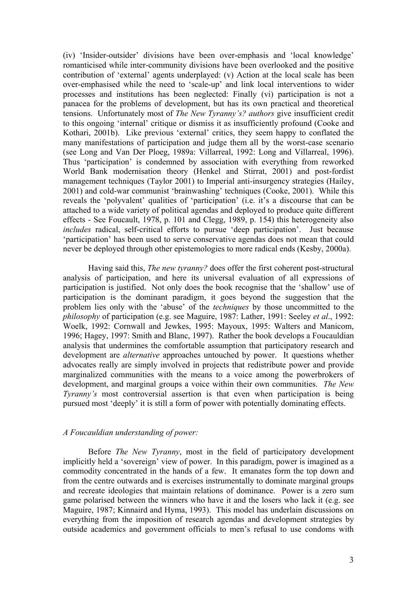(iv) 'Insider-outsider' divisions have been over-emphasis and 'local knowledge' romanticised while inter-community divisions have been overlooked and the positive contribution of 'external' agents underplayed: (v) Action at the local scale has been over-emphasised while the need to 'scale-up' and link local interventions to wider processes and institutions has been neglected: Finally (vi) participation is not a panacea for the problems of development, but has its own practical and theoretical tensions. Unfortunately most of *The New Tyranny's? authors* give insufficient credit to this ongoing 'internal' critique or dismiss it as insufficiently profound (Cooke and Kothari, 2001b). Like previous 'external' critics, they seem happy to conflated the many manifestations of participation and judge them all by the worst-case scenario (see Long and Van Der Ploeg, 1989a: Villarreal, 1992: Long and Villarreal, 1996). Thus 'participation' is condemned by association with everything from reworked World Bank modernisation theory (Henkel and Stirrat, 2001) and post-fordist management techniques (Taylor 2001) to Imperial anti-insurgency strategies (Hailey, 2001) and cold-war communist 'brainwashing' techniques (Cooke, 2001). While this reveals the 'polyvalent' qualities of 'participation' (i.e. it's a discourse that can be attached to a wide variety of political agendas and deployed to produce quite different effects - See Foucault, 1978, p. 101 and Clegg, 1989, p. 154) this heterogeneity also *includes* radical, self-critical efforts to pursue 'deep participation'. Just because 'participation' has been used to serve conservative agendas does not mean that could never be deployed through other epistemologies to more radical ends (Kesby, 2000a).

Having said this, *The new tyranny?* does offer the first coherent post-structural analysis of participation, and here its universal evaluation of all expressions of participation is justified. Not only does the book recognise that the 'shallow' use of participation is the dominant paradigm, it goes beyond the suggestion that the problem lies only with the 'abuse' of the *techniques* by those uncommitted to the *philosophy* of participation (e.g. see Maguire, 1987: Lather, 1991: Seeley *et al*., 1992: Woelk, 1992: Cornwall and Jewkes, 1995: Mayoux, 1995: Walters and Manicom, 1996; Hagey, 1997: Smith and Blanc, 1997). Rather the book develops a Foucauldian analysis that undermines the comfortable assumption that participatory research and development are *alternative* approaches untouched by power. It questions whether advocates really are simply involved in projects that redistribute power and provide marginalized communities with the means to a voice among the powerbrokers of development, and marginal groups a voice within their own communities. *The New Tyranny's* most controversial assertion is that even when participation is being pursued most 'deeply' it is still a form of power with potentially dominating effects.

# *A Foucauldian understanding of power:*

Before *The New Tyranny*, most in the field of participatory development implicitly held a 'sovereign' view of power. In this paradigm, power is imagined as a commodity concentrated in the hands of a few. It emanates form the top down and from the centre outwards and is exercises instrumentally to dominate marginal groups and recreate ideologies that maintain relations of dominance. Power is a zero sum game polarised between the winners who have it and the losers who lack it (e.g. see Maguire, 1987; Kinnaird and Hyma, 1993). This model has underlain discussions on everything from the imposition of research agendas and development strategies by outside academics and government officials to men's refusal to use condoms with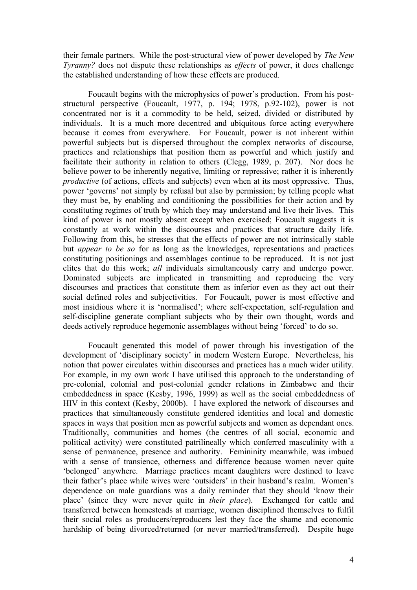their female partners. While the post-structural view of power developed by *The New Tyranny?* does not dispute these relationships as *effects* of power, it does challenge the established understanding of how these effects are produced.

Foucault begins with the microphysics of power's production. From his poststructural perspective (Foucault, 1977, p. 194; 1978, p.92-102), power is not concentrated nor is it a commodity to be held, seized, divided or distributed by individuals. It is a much more decentred and ubiquitous force acting everywhere because it comes from everywhere. For Foucault, power is not inherent within powerful subjects but is dispersed throughout the complex networks of discourse, practices and relationships that position them as powerful and which justify and facilitate their authority in relation to others (Clegg, 1989, p. 207). Nor does he believe power to be inherently negative, limiting or repressive; rather it is inherently *productive* (of actions, effects and subjects) even when at its most oppressive. Thus, power 'governs' not simply by refusal but also by permission; by telling people what they must be, by enabling and conditioning the possibilities for their action and by constituting regimes of truth by which they may understand and live their lives. This kind of power is not mostly absent except when exercised; Foucault suggests it is constantly at work within the discourses and practices that structure daily life. Following from this, he stresses that the effects of power are not intrinsically stable but *appear to be so* for as long as the knowledges, representations and practices constituting positionings and assemblages continue to be reproduced. It is not just elites that do this work; *all* individuals simultaneously carry and undergo power. Dominated subjects are implicated in transmitting and reproducing the very discourses and practices that constitute them as inferior even as they act out their social defined roles and subjectivities. For Foucault, power is most effective and most insidious where it is 'normalised'; where self-expectation, self-regulation and self-discipline generate compliant subjects who by their own thought, words and deeds actively reproduce hegemonic assemblages without being 'forced' to do so.

Foucault generated this model of power through his investigation of the development of 'disciplinary society' in modern Western Europe. Nevertheless, his notion that power circulates within discourses and practices has a much wider utility. For example, in my own work I have utilised this approach to the understanding of pre-colonial, colonial and post-colonial gender relations in Zimbabwe and their embeddedness in space (Kesby, 1996, 1999) as well as the social embeddedness of HIV in this context (Kesby, 2000b). I have explored the network of discourses and practices that simultaneously constitute gendered identities and local and domestic spaces in ways that position men as powerful subjects and women as dependant ones. Traditionally, communities and homes (the centres of all social, economic and political activity) were constituted patrilineally which conferred masculinity with a sense of permanence, presence and authority. Femininity meanwhile, was imbued with a sense of transience, otherness and difference because women never quite 'belonged' anywhere. Marriage practices meant daughters were destined to leave their father's place while wives were 'outsiders' in their husband's realm. Women's dependence on male guardians was a daily reminder that they should 'know their place' (since they were never quite in *their place*). Exchanged for cattle and transferred between homesteads at marriage, women disciplined themselves to fulfil their social roles as producers/reproducers lest they face the shame and economic hardship of being divorced/returned (or never married/transferred). Despite huge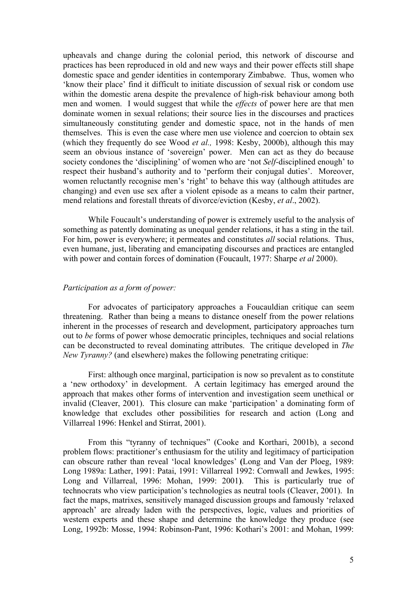upheavals and change during the colonial period, this network of discourse and practices has been reproduced in old and new ways and their power effects still shape domestic space and gender identities in contemporary Zimbabwe. Thus, women who 'know their place' find it difficult to initiate discussion of sexual risk or condom use within the domestic arena despite the prevalence of high-risk behaviour among both men and women. I would suggest that while the *effects* of power here are that men dominate women in sexual relations; their source lies in the discourses and practices simultaneously constituting gender and domestic space, not in the hands of men themselves. This is even the case where men use violence and coercion to obtain sex (which they frequently do see Wood *et al.,* 1998: Kesby, 2000b), although this may seem an obvious instance of 'sovereign' power. Men can act as they do because society condones the 'disciplining' of women who are 'not *Self-*disciplined enough' to respect their husband's authority and to 'perform their conjugal duties'. Moreover, women reluctantly recognise men's 'right' to behave this way (although attitudes are changing) and even use sex after a violent episode as a means to calm their partner, mend relations and forestall threats of divorce/eviction (Kesby, *et al*., 2002).

While Foucault's understanding of power is extremely useful to the analysis of something as patently dominating as unequal gender relations, it has a sting in the tail. For him, power is everywhere; it permeates and constitutes *all* social relations. Thus, even humane, just, liberating and emancipating discourses and practices are entangled with power and contain forces of domination (Foucault, 1977: Sharpe *et al* 2000).

# *Participation as a form of power:*

For advocates of participatory approaches a Foucauldian critique can seem threatening. Rather than being a means to distance oneself from the power relations inherent in the processes of research and development, participatory approaches turn out to *be* forms of power whose democratic principles, techniques and social relations can be deconstructed to reveal dominating attributes. The critique developed in *The New Tyranny?* (and elsewhere) makes the following penetrating critique:

First: although once marginal, participation is now so prevalent as to constitute a 'new orthodoxy' in development. A certain legitimacy has emerged around the approach that makes other forms of intervention and investigation seem unethical or invalid (Cleaver, 2001). This closure can make 'participation' a dominating form of knowledge that excludes other possibilities for research and action (Long and Villarreal 1996: Henkel and Stirrat, 2001).

From this "tyranny of techniques" (Cooke and Korthari, 2001b), a second problem flows: practitioner's enthusiasm for the utility and legitimacy of participation can obscure rather than reveal 'local knowledges' **(**Long and Van der Ploeg, 1989: Long 1989a: Lather, 1991: Patai, 1991: Villarreal 1992: Cornwall and Jewkes, 1995: Long and Villarreal, 1996: Mohan, 1999: 2001**)**. This is particularly true of technocrats who view participation's technologies as neutral tools (Cleaver, 2001). In fact the maps, matrixes, sensitively managed discussion groups and famously 'relaxed approach' are already laden with the perspectives, logic, values and priorities of western experts and these shape and determine the knowledge they produce (see Long, 1992b: Mosse, 1994: Robinson-Pant, 1996: Kothari's 2001: and Mohan, 1999: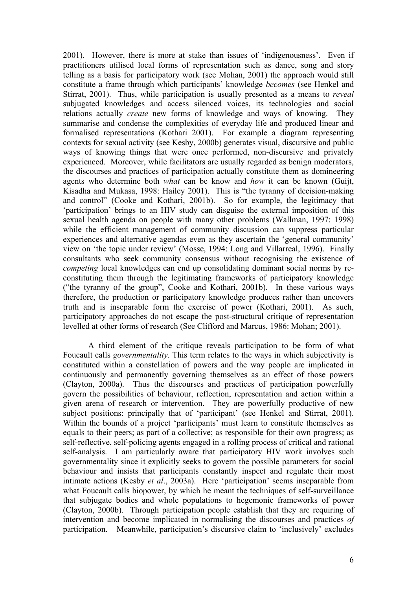2001). However, there is more at stake than issues of 'indigenousness'. Even if practitioners utilised local forms of representation such as dance, song and story telling as a basis for participatory work (see Mohan, 2001) the approach would still constitute a frame through which participants' knowledge *becomes* (see Henkel and Stirrat, 2001). Thus, while participation is usually presented as a means to *reveal* subjugated knowledges and access silenced voices, its technologies and social relations actually *create* new forms of knowledge and ways of knowing. They summarise and condense the complexities of everyday life and produced linear and formalised representations (Kothari 2001). For example a diagram representing contexts for sexual activity (see Kesby, 2000b) generates visual, discursive and public ways of knowing things that were once performed, non-discursive and privately experienced. Moreover, while facilitators are usually regarded as benign moderators, the discourses and practices of participation actually constitute them as domineering agents who determine both *what* can be know and *how* it can be known (Guijt, Kisadha and Mukasa, 1998: Hailey 2001). This is "the tyranny of decision-making and control" (Cooke and Kothari, 2001b). So for example, the legitimacy that 'participation' brings to an HIV study can disguise the external imposition of this sexual health agenda on people with many other problems (Wallman, 1997: 1998) while the efficient management of community discussion can suppress particular experiences and alternative agendas even as they ascertain the 'general community' view on 'the topic under review' (Mosse, 1994: Long and Villarreal, 1996). Finally consultants who seek community consensus without recognising the existence of *competing* local knowledges can end up consolidating dominant social norms by reconstituting them through the legitimating frameworks of participatory knowledge ("the tyranny of the group", Cooke and Kothari, 2001b). In these various ways therefore, the production or participatory knowledge produces rather than uncovers truth and is inseparable form the exercise of power (Kothari, 2001). As such, participatory approaches do not escape the post-structural critique of representation levelled at other forms of research (See Clifford and Marcus, 1986: Mohan; 2001).

A third element of the critique reveals participation to be form of what Foucault calls *governmentality*. This term relates to the ways in which subjectivity is constituted within a constellation of powers and the way people are implicated in continuously and permanently governing themselves as an effect of those powers (Clayton, 2000a). Thus the discourses and practices of participation powerfully govern the possibilities of behaviour, reflection, representation and action within a given arena of research or intervention. They are powerfully productive of new subject positions: principally that of 'participant' (see Henkel and Stirrat, 2001). Within the bounds of a project 'participants' must learn to constitute themselves as equals to their peers; as part of a collective; as responsible for their own progress; as self-reflective, self-policing agents engaged in a rolling process of critical and rational self-analysis. I am particularly aware that participatory HIV work involves such governmentality since it explicitly seeks to govern the possible parameters for social behaviour and insists that participants constantly inspect and regulate their most intimate actions (Kesby *et al*., 2003a). Here 'participation' seems inseparable from what Foucault calls biopower, by which he meant the techniques of self-surveillance that subjugate bodies and whole populations to hegemonic frameworks of power (Clayton, 2000b). Through participation people establish that they are requiring of intervention and become implicated in normalising the discourses and practices *of* participation. Meanwhile, participation's discursive claim to 'inclusively' excludes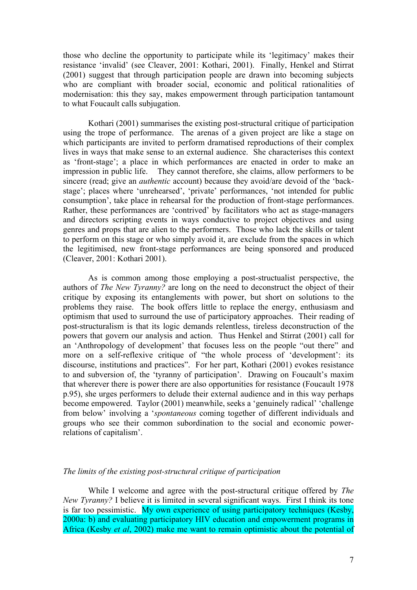those who decline the opportunity to participate while its 'legitimacy' makes their resistance 'invalid' (see Cleaver, 2001: Kothari, 2001). Finally, Henkel and Stirrat (2001) suggest that through participation people are drawn into becoming subjects who are compliant with broader social, economic and political rationalities of modernisation: this they say, makes empowerment through participation tantamount to what Foucault calls subjugation.

Kothari (2001) summarises the existing post-structural critique of participation using the trope of performance. The arenas of a given project are like a stage on which participants are invited to perform dramatised reproductions of their complex lives in ways that make sense to an external audience. She characterises this context as 'front-stage'; a place in which performances are enacted in order to make an impression in public life. They cannot therefore, she claims, allow performers to be sincere (read; give an *authentic* account) because they avoid/are devoid of the 'backstage'; places where 'unrehearsed', 'private' performances, 'not intended for public consumption', take place in rehearsal for the production of front-stage performances. Rather, these performances are 'contrived' by facilitators who act as stage-managers and directors scripting events in ways conductive to project objectives and using genres and props that are alien to the performers. Those who lack the skills or talent to perform on this stage or who simply avoid it, are exclude from the spaces in which the legitimised, new front-stage performances are being sponsored and produced (Cleaver, 2001: Kothari 2001).

As is common among those employing a post-structualist perspective, the authors of *The New Tyranny?* are long on the need to deconstruct the object of their critique by exposing its entanglements with power, but short on solutions to the problems they raise. The book offers little to replace the energy, enthusiasm and optimism that used to surround the use of participatory approaches. Their reading of post-structuralism is that its logic demands relentless, tireless deconstruction of the powers that govern our analysis and action. Thus Henkel and Stirrat (2001) call for an 'Anthropology of development' that focuses less on the people "out there" and more on a self-reflexive critique of "the whole process of 'development': its discourse, institutions and practices". For her part, Kothari (2001) evokes resistance to and subversion of, the 'tyranny of participation'. Drawing on Foucault's maxim that wherever there is power there are also opportunities for resistance (Foucault 1978 p.95), she urges performers to delude their external audience and in this way perhaps become empowered. Taylor (2001) meanwhile, seeks a 'genuinely radical' 'challenge from below' involving a '*spontaneous* coming together of different individuals and groups who see their common subordination to the social and economic powerrelations of capitalism'.

# *The limits of the existing post-structural critique of participation*

While I welcome and agree with the post-structural critique offered by *The New Tyranny?* I believe it is limited in several significant ways. First I think its tone is far too pessimistic. My own experience of using participatory techniques (Kesby, 2000a: b) and evaluating participatory HIV education and empowerment programs in Africa (Kesby *et al*, 2002) make me want to remain optimistic about the potential of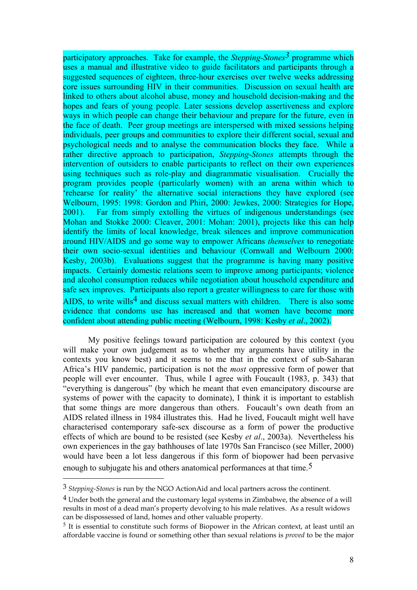participatory approaches. Take for example, the *Stepping-Stones3* programme which uses a manual and illustrative video to guide facilitators and participants through a suggested sequences of eighteen, three-hour exercises over twelve weeks addressing core issues surrounding HIV in their communities. Discussion on sexual health are linked to others about alcohol abuse, money and household decision-making and the hopes and fears of young people. Later sessions develop assertiveness and explore ways in which people can change their behaviour and prepare for the future, even in the face of death. Peer group meetings are interspersed with mixed sessions helping individuals, peer groups and communities to explore their different social, sexual and psychological needs and to analyse the communication blocks they face. While a rather directive approach to participation, *Stepping-Stones* attempts through the intervention of outsiders to enable participants to reflect on their own experiences using techniques such as role-play and diagrammatic visualisation. Crucially the program provides people (particularly women) with an arena within which to 'rehearse for reality' the alternative social interactions they have explored (see Welbourn, 1995: 1998: Gordon and Phiri, 2000: Jewkes, 2000: Strategies for Hope, 2001). Far from simply extolling the virtues of indigenous understandings (see Mohan and Stokke 2000: Cleaver, 2001: Mohan: 2001), projects like this can help identify the limits of local knowledge, break silences and improve communication around HIV/AIDS and go some way to empower Africans *themselves* to renegotiate their own socio-sexual identities and behaviour (Cornwall and Welbourn 2000: Kesby, 2003b). Evaluations suggest that the programme is having many positive impacts. Certainly domestic relations seem to improve among participants; violence and alcohol consumption reduces while negotiation about household expenditure and safe sex improves. Participants also report a greater willingness to care for those with AIDS, to write wills<sup>4</sup> and discuss sexual matters with children. There is also some evidence that condoms use has increased and that women have become more confident about attending public meeting (Welbourn, 1998: Kesby *et al*., 2002).

My positive feelings toward participation are coloured by this context (you will make your own judgement as to whether my arguments have utility in the contexts you know best) and it seems to me that in the context of sub-Saharan Africa's HIV pandemic, participation is not the *most* oppressive form of power that people will ever encounter. Thus, while I agree with Foucault (1983, p. 343) that "everything is dangerous" (by which he meant that even emancipatory discourse are systems of power with the capacity to dominate), I think it is important to establish that some things are more dangerous than others. Foucault's own death from an AIDS related illness in 1984 illustrates this. Had he lived, Foucault might well have characterised contemporary safe-sex discourse as a form of power the productive effects of which are bound to be resisted (see Kesby *et al*., 2003a). Nevertheless his own experiences in the gay bathhouses of late 1970s San Francisco (see Miller, 2000) would have been a lot less dangerous if this form of biopower had been pervasive enough to subjugate his and others anatomical performances at that time.<sup>5</sup>

1

<sup>3</sup> *Stepping-Stones* is run by the NGO ActionAid and local partners across the continent.

<sup>4</sup> Under both the general and the customary legal systems in Zimbabwe, the absence of a will results in most of a dead man's property devolving to his male relatives. As a result widows can be dispossessed of land, homes and other valuable property.

 $5$  It is essential to constitute such forms of Biopower in the African context, at least until an affordable vaccine is found or something other than sexual relations is *proved* to be the major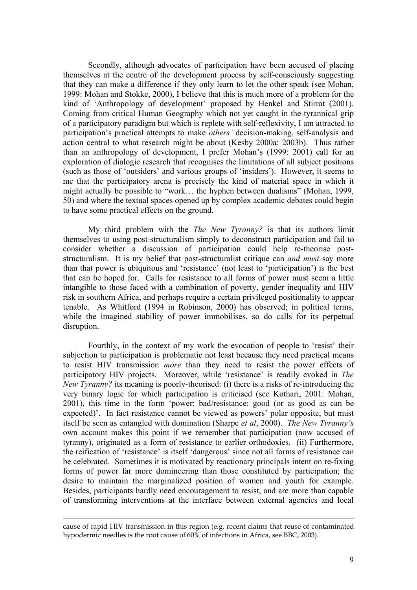Secondly, although advocates of participation have been accused of placing themselves at the centre of the development process by self-consciously suggesting that they can make a difference if they only learn to let the other speak (see Mohan, 1999: Mohan and Stokke, 2000), I believe that this is much more of a problem for the kind of 'Anthropology of development' proposed by Henkel and Stirrat (2001). Coming from critical Human Geography which not yet caught in the tyrannical grip of a participatory paradigm but which is replete with self-reflexivity, I am attracted to participation's practical attempts to make *others'* decision-making, self-analysis and action central to what research might be about (Kesby 2000a: 2003b). Thus rather than an anthropology of development, I prefer Mohan's (1999: 2001) call for an exploration of dialogic research that recognises the limitations of all subject positions (such as those of 'outsiders' and various groups of 'insiders'). However, it seems to me that the participatory arena is precisely the kind of material space in which it might actually be possible to "work… the hyphen between dualisms" (Mohan, 1999, 50) and where the textual spaces opened up by complex academic debates could begin to have some practical effects on the ground.

My third problem with the *The New Tyranny?* is that its authors limit themselves to using post-structuralism simply to deconstruct participation and fail to consider whether a discussion of participation could help re-theorise poststructuralism. It is my belief that post-structuralist critique can *and must* say more than that power is ubiquitous and 'resistance' (not least to 'participation') is the best that can be hoped for. Calls for resistance to all forms of power must seem a little intangible to those faced with a combination of poverty, gender inequality and HIV risk in southern Africa, and perhaps require a certain privileged positionality to appear tenable. As Whitford (1994 in Robinson, 2000) has observed; in political terms, while the imagined stability of power immobilises, so do calls for its perpetual disruption.

Fourthly, in the context of my work the evocation of people to 'resist' their subjection to participation is problematic not least because they need practical means to resist HIV transmission *more* than they need to resist the power effects of participatory HIV projects. Moreover, while 'resistance' is readily evoked in *The New Tyranny?* its meaning is poorly-theorised: (i) there is a risks of re-introducing the very binary logic for which participation is criticised (see Kothari, 2001: Mohan, 2001), this time in the form 'power: bad/resistance: good (or as good as can be expected)'. In fact resistance cannot be viewed as powers' polar opposite, but must itself be seen as entangled with domination (Sharpe *et al*, 2000). *The New Tyranny's* own account makes this point if we remember that participation (now accused of tyranny), originated as a form of resistance to earlier orthodoxies. (ii) Furthermore, the reification of 'resistance' is itself 'dangerous' since not all forms of resistance can be celebrated. Sometimes it is motivated by reactionary principals intent on re-fixing forms of power far more domineering than those constituted by participation; the desire to maintain the marginalized position of women and youth for example. Besides, participants hardly need encouragement to resist, and are more than capable of transforming interventions at the interface between external agencies and local

<u>.</u>

cause of rapid HIV transmission in this region (e.g. recent claims that reuse of contaminated hypodermic needles is the root cause of 60% of infections in Africa, see BBC, 2003).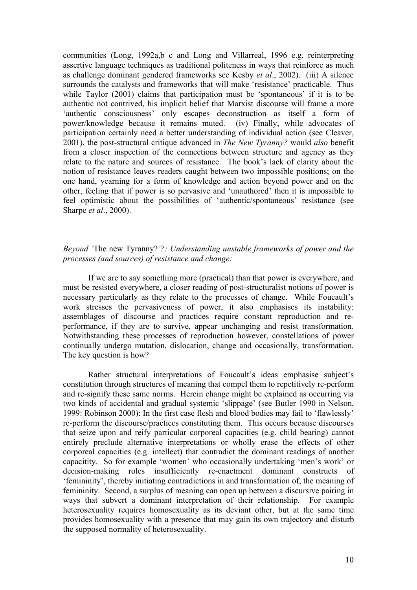communities (Long, 1992a,b c and Long and Villarreal, 1996 e.g. reinterpreting assertive language techniques as traditional politeness in ways that reinforce as much as challenge dominant gendered frameworks see Kesby *et al*., 2002). (iii) A silence surrounds the catalysts and frameworks that will make 'resistance' practicable. Thus while Taylor (2001) claims that participation must be 'spontaneous' if it is to be authentic not contrived, his implicit belief that Marxist discourse will frame a more 'authentic consciousness' only escapes deconstruction as itself a form of power/knowledge because it remains muted. (iv) Finally, while advocates of participation certainly need a better understanding of individual action (see Cleaver, 2001), the post-structural critique advanced in *The New Tyranny?* would *also* benefit from a closer inspection of the connections between structure and agency as they relate to the nature and sources of resistance. The book's lack of clarity about the notion of resistance leaves readers caught between two impossible positions; on the one hand, yearning for a form of knowledge and action beyond power and on the other, feeling that if power is so pervasive and 'unauthored' then it is impossible to feel optimistic about the possibilities of 'authentic/spontaneous' resistance (see Sharpe *et al*., 2000).

# *Beyond '*The new Tyranny?*'?: Understanding unstable frameworks of power and the processes (and sources) of resistance and change:*

 If we are to say something more (practical) than that power is everywhere, and must be resisted everywhere, a closer reading of post-structuralist notions of power is necessary particularly as they relate to the processes of change. While Foucault's work stresses the pervasiveness of power, it also emphasises its instability: assemblages of discourse and practices require constant reproduction and reperformance, if they are to survive, appear unchanging and resist transformation. Notwithstanding these processes of reproduction however, constellations of power continually undergo mutation, dislocation, change and occasionally, transformation. The key question is how?

 Rather structural interpretations of Foucault's ideas emphasise subject's constitution through structures of meaning that compel them to repetitively re-perform and re-signify these same norms. Herein change might be explained as occurring via two kinds of accidental and gradual systemic 'slippage' (see Butler 1990 in Nelson, 1999: Robinson 2000): In the first case flesh and blood bodies may fail to 'flawlessly' re-perform the discourse/practices constituting them. This occurs because discourses that seize upon and reify particular corporeal capacities (e.g. child bearing) cannot entirely preclude alternative interpretations or wholly erase the effects of other corporeal capacities (e.g. intellect) that contradict the dominant readings of another capacitity. So for example 'women' who occasionally undertaking 'men's work' or decision-making roles insufficiently re-enactment dominant constructs of 'femininity', thereby initiating contradictions in and transformation of, the meaning of femininity. Second, a surplus of meaning can open up between a discursive pairing in ways that subvert a dominant interpretation of their relationship. For example heterosexuality requires homosexuality as its deviant other, but at the same time provides homosexuality with a presence that may gain its own trajectory and disturb the supposed normality of heterosexuality.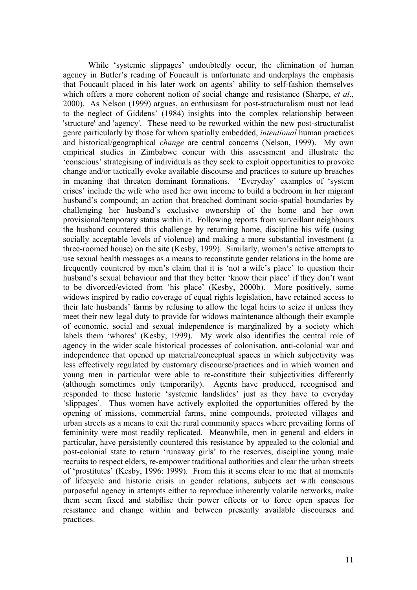While 'systemic slippages' undoubtedly occur, the elimination of human agency in Butler's reading of Foucault is unfortunate and underplays the emphasis that Foucault placed in his later work on agents' ability to self-fashion themselves which offers a more coherent notion of social change and resistance (Sharpe, *et al*., 2000). As Nelson (1999) argues, an enthusiasm for post-structuralism must not lead to the neglect of Giddens' (1984) insights into the complex relationship between 'structure' and 'agency'. These need to be reworked within the new post-structuralist genre particularly by those for whom spatially embedded, *intentional* human practices and historical/geographical *change* are central concerns (Nelson, 1999). My own empirical studies in Zimbabwe concur with this assessment and illustrate the 'conscious' strategising of individuals as they seek to exploit opportunities to provoke change and/or tactically evoke available discourse and practices to suture up breaches in meaning that threaten dominant formations. 'Everyday' examples of 'system crises' include the wife who used her own income to build a bedroom in her migrant husband's compound; an action that breached dominant socio-spatial boundaries by challenging her husband's exclusive ownership of the home and her own provisional/temporary status within it. Following reports from surveillant neighbours the husband countered this challenge by returning home, discipline his wife (using socially acceptable levels of violence) and making a more substantial investment (a three-roomed house) on the site (Kesby, 1999). Similarly, women's active attempts to use sexual health messages as a means to reconstitute gender relations in the home are frequently countered by men's claim that it is 'not a wife's place' to question their husband's sexual behaviour and that they better 'know their place' if they don't want to be divorced/evicted from 'his place' (Kesby, 2000b). More positively, some widows inspired by radio coverage of equal rights legislation, have retained access to their late husbands' farms by refusing to allow the legal heirs to seize it unless they meet their new legal duty to provide for widows maintenance although their example of economic, social and sexual independence is marginalized by a society which labels them 'whores' (Kesby, 1999). My work also identifies the central role of agency in the wider scale historical processes of colonisation, anti-colonial war and independence that opened up material/conceptual spaces in which subjectivity was less effectively regulated by customary discourse/practices and in which women and young men in particular were able to re-constitute their subjectivities differently (although sometimes only temporarily). Agents have produced, recognised and responded to these historic 'systemic landslides' just as they have to everyday 'slippages'. Thus women have actively exploited the opportunities offered by the opening of missions, commercial farms, mine compounds, protected villages and urban streets as a means to exit the rural community spaces where prevailing forms of femininity were most readily replicated. Meanwhile, men in general and elders in particular, have persistently countered this resistance by appealed to the colonial and post-colonial state to return 'runaway girls' to the reserves, discipline young male recruits to respect elders, re-empower traditional authorities and clear the urban streets of 'prostitutes' (Kesby, 1996: 1999). From this it seems clear to me that at moments of lifecycle and historic crisis in gender relations, subjects act with conscious purposeful agency in attempts either to reproduce inherently volatile networks, make them seem fixed and stabilise their power effects or to force open spaces for resistance and change within and between presently available discourses and practices.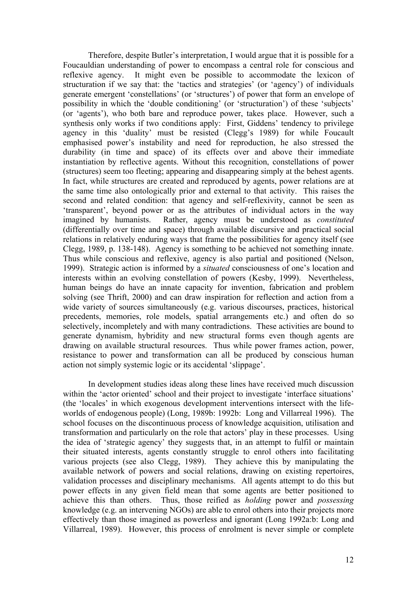Therefore, despite Butler's interpretation, I would argue that it is possible for a Foucauldian understanding of power to encompass a central role for conscious and reflexive agency. It might even be possible to accommodate the lexicon of structuration if we say that: the 'tactics and strategies' (or 'agency') of individuals generate emergent 'constellations' (or 'structures') of power that form an envelope of possibility in which the 'double conditioning' (or 'structuration') of these 'subjects' (or 'agents'), who both bare and reproduce power, takes place. However, such a synthesis only works if two conditions apply: First, Giddens' tendency to privilege agency in this 'duality' must be resisted (Clegg's 1989) for while Foucault emphasised power's instability and need for reproduction, he also stressed the durability (in time and space) of its effects over and above their immediate instantiation by reflective agents. Without this recognition, constellations of power (structures) seem too fleeting; appearing and disappearing simply at the behest agents. In fact, while structures are created and reproduced by agents, power relations are at the same time also ontologically prior and external to that activity. This raises the second and related condition: that agency and self-reflexivity, cannot be seen as 'transparent', beyond power or as the attributes of individual actors in the way imagined by humanists. Rather, agency must be understood as *constituted* (differentially over time and space) through available discursive and practical social relations in relatively enduring ways that frame the possibilities for agency itself (see Clegg, 1989, p. 138-148). Agency is something to be achieved not something innate. Thus while conscious and reflexive, agency is also partial and positioned (Nelson, 1999). Strategic action is informed by a *situated* consciousness of one's location and interests within an evolving constellation of powers (Kesby, 1999). Nevertheless, human beings do have an innate capacity for invention, fabrication and problem solving (see Thrift, 2000) and can draw inspiration for reflection and action from a wide variety of sources simultaneously (e.g. various discourses, practices, historical precedents, memories, role models, spatial arrangements etc.) and often do so selectively, incompletely and with many contradictions. These activities are bound to generate dynamism, hybridity and new structural forms even though agents are drawing on available structural resources. Thus while power frames action, power, resistance to power and transformation can all be produced by conscious human action not simply systemic logic or its accidental 'slippage'.

In development studies ideas along these lines have received much discussion within the 'actor oriented' school and their project to investigate 'interface situations' (the 'locales' in which exogenous development interventions intersect with the lifeworlds of endogenous people) (Long, 1989b: 1992b: Long and Villarreal 1996). The school focuses on the discontinuous process of knowledge acquisition, utilisation and transformation and particularly on the role that actors' play in these processes. Using the idea of 'strategic agency' they suggests that, in an attempt to fulfil or maintain their situated interests, agents constantly struggle to enrol others into facilitating various projects (see also Clegg, 1989). They achieve this by manipulating the available network of powers and social relations, drawing on existing repertoires, validation processes and disciplinary mechanisms. All agents attempt to do this but power effects in any given field mean that some agents are better positioned to achieve this than others. Thus, those reified as *holding* power and *possessing* knowledge (e.g. an intervening NGOs) are able to enrol others into their projects more effectively than those imagined as powerless and ignorant (Long 1992a:b: Long and Villarreal, 1989). However, this process of enrolment is never simple or complete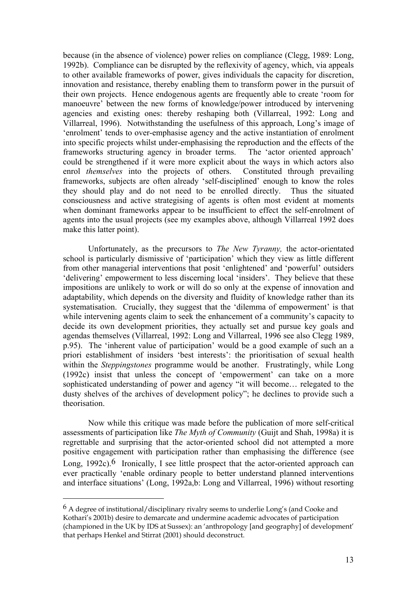because (in the absence of violence) power relies on compliance (Clegg, 1989: Long, 1992b). Compliance can be disrupted by the reflexivity of agency, which, via appeals to other available frameworks of power, gives individuals the capacity for discretion, innovation and resistance, thereby enabling them to transform power in the pursuit of their own projects. Hence endogenous agents are frequently able to create 'room for manoeuvre' between the new forms of knowledge/power introduced by intervening agencies and existing ones: thereby reshaping both (Villarreal, 1992: Long and Villarreal, 1996). Notwithstanding the usefulness of this approach, Long's image of 'enrolment' tends to over-emphasise agency and the active instantiation of enrolment into specific projects whilst under-emphasising the reproduction and the effects of the frameworks structuring agency in broader terms. The 'actor oriented approach' could be strengthened if it were more explicit about the ways in which actors also enrol *themselves* into the projects of others. Constituted through prevailing frameworks, subjects are often already 'self-disciplined' enough to know the roles they should play and do not need to be enrolled directly. Thus the situated consciousness and active strategising of agents is often most evident at moments when dominant frameworks appear to be insufficient to effect the self-enrolment of agents into the usual projects (see my examples above, although Villarreal 1992 does make this latter point).

 Unfortunately, as the precursors to *The New Tyranny,* the actor-orientated school is particularly dismissive of 'participation' which they view as little different from other managerial interventions that posit 'enlightened' and 'powerful' outsiders 'delivering' empowerment to less discerning local 'insiders'. They believe that these impositions are unlikely to work or will do so only at the expense of innovation and adaptability, which depends on the diversity and fluidity of knowledge rather than its systematisation. Crucially, they suggest that the 'dilemma of empowerment' is that while intervening agents claim to seek the enhancement of a community's capacity to decide its own development priorities, they actually set and pursue key goals and agendas themselves (Villarreal, 1992: Long and Villarreal, 1996 see also Clegg 1989, p.95). The 'inherent value of participation' would be a good example of such an a priori establishment of insiders 'best interests': the prioritisation of sexual health within the *Steppingstones* programme would be another. Frustratingly, while Long (1992c) insist that unless the concept of 'empowerment' can take on a more sophisticated understanding of power and agency "it will become… relegated to the dusty shelves of the archives of development policy"; he declines to provide such a theorisation.

Now while this critique was made before the publication of more self-critical assessments of participation like *The Myth of Community* (Guijt and Shah, 1998a) it is regrettable and surprising that the actor-oriented school did not attempted a more positive engagement with participation rather than emphasising the difference (see Long,  $1992c$ .<sup>6</sup> Ironically, I see little prospect that the actor-oriented approach can ever practically 'enable ordinary people to better understand planned interventions and interface situations' (Long, 1992a,b: Long and Villarreal, 1996) without resorting

1

<sup>6</sup> A degree of institutional/disciplinary rivalry seems to underlie Long's (and Cooke and Kothari's 2001b) desire to demarcate and undermine academic advocates of participation (championed in the UK by IDS at Sussex): an 'anthropology [and geography] of development' that perhaps Henkel and Stirrat (2001) should deconstruct.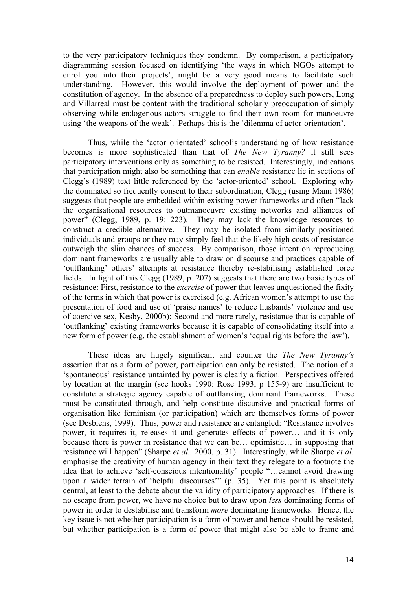to the very participatory techniques they condemn. By comparison, a participatory diagramming session focused on identifying 'the ways in which NGOs attempt to enrol you into their projects', might be a very good means to facilitate such understanding. However, this would involve the deployment of power and the constitution of agency. In the absence of a preparedness to deploy such powers, Long and Villarreal must be content with the traditional scholarly preoccupation of simply observing while endogenous actors struggle to find their own room for manoeuvre using 'the weapons of the weak'. Perhaps this is the 'dilemma of actor-orientation'.

Thus, while the 'actor orientated' school's understanding of how resistance becomes is more sophisticated than that of *The New Tyranny?* it still sees participatory interventions only as something to be resisted. Interestingly, indications that participation might also be something that can *enable* resistance lie in sections of Clegg's (1989) text little referenced by the 'actor-oriented' school. Exploring why the dominated so frequently consent to their subordination, Clegg (using Mann 1986) suggests that people are embedded within existing power frameworks and often "lack the organisational resources to outmanoeuvre existing networks and alliances of power" (Clegg, 1989, p. 19: 223). They may lack the knowledge resources to construct a credible alternative. They may be isolated from similarly positioned individuals and groups or they may simply feel that the likely high costs of resistance outweigh the slim chances of success. By comparison, those intent on reproducing dominant frameworks are usually able to draw on discourse and practices capable of 'outflanking' others' attempts at resistance thereby re-stabilising established force fields. In light of this Clegg (1989, p. 207) suggests that there are two basic types of resistance: First, resistance to the *exercise* of power that leaves unquestioned the fixity of the terms in which that power is exercised (e.g. African women's attempt to use the presentation of food and use of 'praise names' to reduce husbands' violence and use of coercive sex, Kesby, 2000b): Second and more rarely, resistance that is capable of 'outflanking' existing frameworks because it is capable of consolidating itself into a new form of power (e.g. the establishment of women's 'equal rights before the law').

 These ideas are hugely significant and counter the *The New Tyranny's*  assertion that as a form of power, participation can only be resisted. The notion of a 'spontaneous' resistance untainted by power is clearly a fiction. Perspectives offered by location at the margin (see hooks 1990: Rose 1993, p 155-9) are insufficient to constitute a strategic agency capable of outflanking dominant frameworks. These must be constituted through, and help constitute discursive and practical forms of organisation like feminism (or participation) which are themselves forms of power (see Desbiens, 1999). Thus, power and resistance are entangled: "Resistance involves power, it requires it, releases it and generates effects of power… and it is only because there is power in resistance that we can be… optimistic… in supposing that resistance will happen" (Sharpe *et al.,* 2000, p. 31). Interestingly, while Sharpe *et al*. emphasise the creativity of human agency in their text they relegate to a footnote the idea that to achieve 'self-conscious intentionality' people "…cannot avoid drawing upon a wider terrain of 'helpful discourses'" (p. 35). Yet this point is absolutely central, at least to the debate about the validity of participatory approaches. If there is no escape from power, we have no choice but to draw upon *less* dominating forms of power in order to destabilise and transform *more* dominating frameworks. Hence, the key issue is not whether participation is a form of power and hence should be resisted, but whether participation is a form of power that might also be able to frame and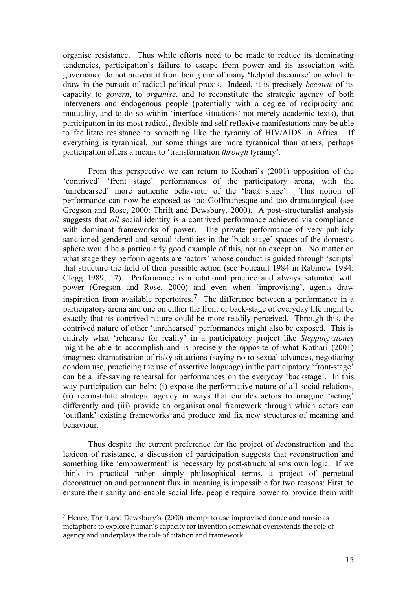organise resistance. Thus while efforts need to be made to reduce its dominating tendencies, participation's failure to escape from power and its association with governance do not prevent it from being one of many 'helpful discourse' on which to draw in the pursuit of radical political praxis. Indeed, it is precisely *because* of its capacity to *govern*, to *organise*, and to reconstitute the strategic agency of both interveners and endogenous people (potentially with a degree of reciprocity and mutuality, and to do so within 'interface situations' not merely academic texts), that participation in its most radical, flexible and self-reflexive manifestations may be able to facilitate resistance to something like the tyranny of HIV/AIDS in Africa. If everything is tyrannical, but some things are more tyrannical than others, perhaps participation offers a means to 'transformation *through* tyranny'.

From this perspective we can return to Kothari's (2001) opposition of the 'contrived' 'front stage' performances of the participatory arena, with the 'unrehearsed' more authentic behaviour of the 'back stage'. This notion of performance can now be exposed as too Goffmanesque and too dramaturgical (see Gregson and Rose, 2000: Thrift and Dewsbury, 2000). A post-structuralist analysis suggests that *all* social identity is a contrived performance achieved via compliance with dominant frameworks of power. The private performance of very publicly sanctioned gendered and sexual identities in the 'back-stage' spaces of the domestic sphere would be a particularly good example of this, not an exception. No matter on what stage they perform agents are 'actors' whose conduct is guided through 'scripts' that structure the field of their possible action (see Foucault 1984 in Rabinow 1984: Clegg 1989, 17). Performance is a citational practice and always saturated with power (Gregson and Rose, 2000) and even when 'improvising', agents draw inspiration from available repertoires.7 The difference between a performance in a participatory arena and one on either the front or back-stage of everyday life might be exactly that its contrived nature could be more readily perceived. Through this, the contrived nature of other 'unrehearsed' performances might also be exposed. This is entirely what 'rehearse for reality' in a participatory project like *Stepping-stones* might be able to accomplish and is precisely the opposite of what Kothari (2001) imagines: dramatisation of risky situations (saying no to sexual advances, negotiating condom use, practicing the use of assertive language) in the participatory 'front-stage' can be a life-saving rehearsal for performances on the everyday 'backstage'. In this way participation can help: (i) expose the performative nature of all social relations, (ii) reconstitute strategic agency in ways that enables actors to imagine 'acting' differently and (iii) provide an organisational framework through which actors can 'outflank' existing frameworks and produce and fix new structures of meaning and behaviour.

Thus despite the current preference for the project of *de*construction and the lexicon of resistance, a discussion of participation suggests that *re*construction and something like 'empowerment' is necessary by post-structuralisms own logic. If we think in practical rather simply philosophical terms, a project of perpetual deconstruction and permanent flux in meaning is impossible for two reasons: First, to ensure their sanity and enable social life, people require power to provide them with

<u>.</u>

 $<sup>7</sup>$  Hence. Thrift and Dewsbury's (2000) attempt to use improvised dance and music as</sup> metaphors to explore human's capacity for invention somewhat overextends the role of agency and underplays the role of citation and framework.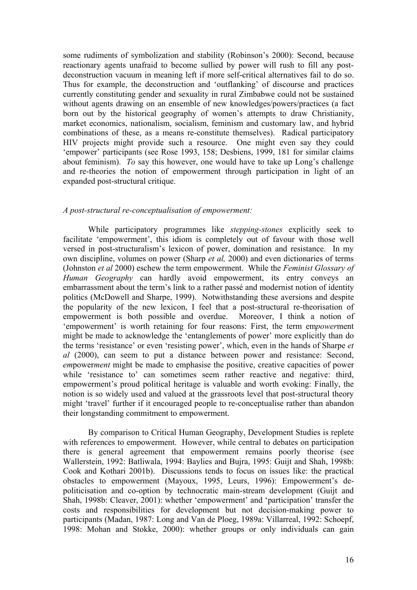some rudiments of symbolization and stability (Robinson's 2000): Second, because reactionary agents unafraid to become sullied by power will rush to fill any postdeconstruction vacuum in meaning left if more self-critical alternatives fail to do so. Thus for example, the deconstruction and 'outflanking' of discourse and practices currently constituting gender and sexuality in rural Zimbabwe could not be sustained without agents drawing on an ensemble of new knowledges/powers/practices (a fact born out by the historical geography of women's attempts to draw Christianity, market economics, nationalism, socialism, feminism and customary law, and hybrid combinations of these, as a means re-constitute themselves). Radical participatory HIV projects might provide such a resource. One might even say they could 'empower' participants (see Rose 1993, 158; Desbiens, 1999, 181 for similar claims about feminism). *To* say this however, one would have to take up Long's challenge and re-theories the notion of empowerment through participation in light of an expanded post-structural critique.

### *A post-structural re-conceptualisation of empowerment:*

While participatory programmes like *stepping-stones* explicitly seek to facilitate 'empowerment', this idiom is completely out of favour with those well versed in post-structuralism's lexicon of power, domination and resistance. In my own discipline, volumes on power (Sharp *et al,* 2000) and even dictionaries of terms (Johnston *et al* 2000) eschew the term empowerment. While the *Feminist Glossary of Human Geography* can hardly avoid empowerment, its entry conveys an embarrassment about the term's link to a rather passé and modernist notion of identity politics (McDowell and Sharpe, 1999). Notwithstanding these aversions and despite the popularity of the new lexicon, I feel that a post-structural re-theorisation of empowerment is both possible and overdue. Moreover, I think a notion of 'empowerment' is worth retaining for four reasons: First, the term em*power*ment might be made to acknowledge the 'entanglements of power' more explicitly than do the terms 'resistance' or even 'resisting power', which, even in the hands of Sharpe *et al* (2000), can seem to put a distance between power and resistance: Second, *em*power*ment* might be made to emphasise the positive, creative capacities of power while 'resistance to' can sometimes seem rather reactive and negative: third, empowerment's proud political heritage is valuable and worth evoking: Finally, the notion is so widely used and valued at the grassroots level that post-structural theory might 'travel' further if it encouraged people to re-conceptualise rather than abandon their longstanding commitment to empowerment.

By comparison to Critical Human Geography, Development Studies is replete with references to empowerment. However, while central to debates on participation there is general agreement that empowerment remains poorly theorise (see Wallerstein, 1992: Batliwala, 1994: Baylies and Bujra, 1995: Guijt and Shah, 1998b: Cook and Kothari 2001b). Discussions tends to focus on issues like: the practical obstacles to empowerment (Mayoux, 1995, Leurs, 1996): Empowerment's depoliticisation and co-option by technocratic main-stream development (Guijt and Shah, 1998b: Cleaver, 2001): whether 'empowerment' and 'participation' transfer the costs and responsibilities for development but not decision-making power to participants (Madan, 1987: Long and Van de Ploeg, 1989a: Villarreal, 1992: Schoepf, 1998: Mohan and Stokke, 2000): whether groups or only individuals can gain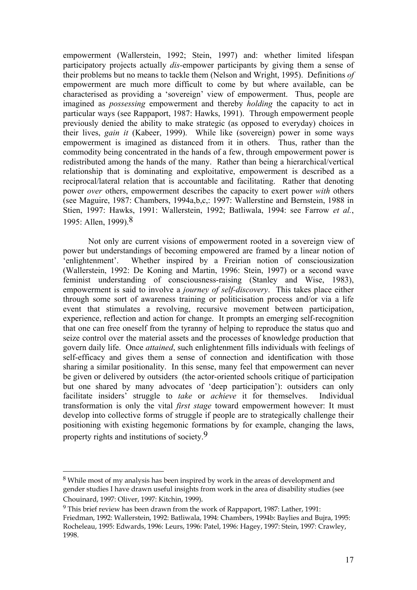empowerment (Wallerstein, 1992; Stein, 1997) and: whether limited lifespan participatory projects actually *dis-*empower participants by giving them a sense of their problems but no means to tackle them (Nelson and Wright, 1995). Definitions *of* empowerment are much more difficult to come by but where available, can be characterised as providing a 'sovereign' view of empowerment. Thus, people are imagined as *possessing* empowerment and thereby *holding* the capacity to act in particular ways (see Rappaport, 1987: Hawks, 1991). Through empowerment people previously denied the ability to make strategic (as opposed to everyday) choices in their lives, *gain it* (Kabeer, 1999). While like (sovereign) power in some ways empowerment is imagined as distanced from it in others. Thus, rather than the commodity being concentrated in the hands of a few, through empowerment power is redistributed among the hands of the many. Rather than being a hierarchical/vertical relationship that is dominating and exploitative, empowerment is described as a reciprocal/lateral relation that is accountable and facilitating. Rather that denoting power *over* others, empowerment describes the capacity to exert power *with* others (see Maguire, 1987: Chambers, 1994a,b,c,: 1997: Wallerstine and Bernstein, 1988 in Stien, 1997: Hawks, 1991: Wallerstein, 1992; Batliwala, 1994: see Farrow *et al.*, 1995: Allen, 1999).8

Not only are current visions of empowerment rooted in a sovereign view of power but understandings of becoming empowered are framed by a linear notion of 'enlightenment'. Whether inspired by a Freirian notion of consciousization (Wallerstein, 1992: De Koning and Martin, 1996: Stein, 1997) or a second wave feminist understanding of consciousness-raising (Stanley and Wise, 1983), empowerment is said to involve a *journey of self-discovery*. This takes place either through some sort of awareness training or politicisation process and/or via a life event that stimulates a revolving, recursive movement between participation, experience, reflection and action for change. It prompts an emerging self-recognition that one can free oneself from the tyranny of helping to reproduce the status quo and seize control over the material assets and the processes of knowledge production that govern daily life. Once *attained*, such enlightenment fills individuals with feelings of self-efficacy and gives them a sense of connection and identification with those sharing a similar positionality. In this sense, many feel that empowerment can never be given or delivered by outsiders (the actor-oriented schools critique of participation but one shared by many advocates of 'deep participation'): outsiders can only facilitate insiders' struggle to *take* or *achieve* it for themselves. Individual transformation is only the vital *first stage* toward empowerment however: It must develop into collective forms of struggle if people are to strategically challenge their positioning with existing hegemonic formations by for example, changing the laws, property rights and institutions of society.9

<u>.</u>

<sup>8</sup> While most of my analysis has been inspired by work in the areas of development and gender studies I have drawn useful insights from work in the area of disability studies (see Chouinard, 1997: Oliver, 1997: Kitchin, 1999).

<sup>9</sup> This brief review has been drawn from the work of Rappaport, 1987: Lather, 1991: Friedman, 1992: Wallerstein, 1992: Batliwala, 1994: Chambers, 1994b: Baylies and Bujra, 1995: Rocheleau, 1995: Edwards, 1996: Leurs, 1996: Patel, 1996: Hagey, 1997: Stein, 1997: Crawley, 1998.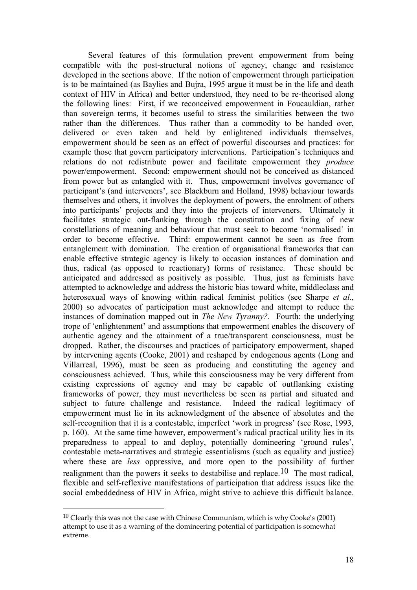Several features of this formulation prevent empowerment from being compatible with the post-structural notions of agency, change and resistance developed in the sections above. If the notion of empowerment through participation is to be maintained (as Baylies and Bujra, 1995 argue it must be in the life and death context of HIV in Africa) and better understood, they need to be re-theorised along the following lines: First, if we reconceived empowerment in Foucauldian, rather than sovereign terms, it becomes useful to stress the similarities between the two rather than the differences. Thus rather than a commodity to be handed over, delivered or even taken and held by enlightened individuals themselves, empowerment should be seen as an effect of powerful discourses and practices: for example those that govern participatory interventions. Participation's techniques and relations do not redistribute power and facilitate empowerment they *produce* power/empowerment. Second: empowerment should not be conceived as distanced from power but as entangled with it. Thus, empowerment involves governance of participant's (and interveners', see Blackburn and Holland, 1998) behaviour towards themselves and others, it involves the deployment of powers, the enrolment of others into participants' projects and they into the projects of interveners. Ultimately it facilitates strategic out-flanking through the constitution and fixing of new constellations of meaning and behaviour that must seek to become 'normalised' in order to become effective. Third: empowerment cannot be seen as free from entanglement with domination. The creation of organisational frameworks that can enable effective strategic agency is likely to occasion instances of domination and thus, radical (as opposed to reactionary) forms of resistance. These should be anticipated and addressed as positively as possible. Thus, just as feminists have attempted to acknowledge and address the historic bias toward white, middleclass and heterosexual ways of knowing within radical feminist politics (see Sharpe *et al*., 2000) so advocates of participation must acknowledge and attempt to reduce the instances of domination mapped out in *The New Tyranny?*. Fourth: the underlying trope of 'enlightenment' and assumptions that empowerment enables the discovery of authentic agency and the attainment of a true/transparent consciousness, must be dropped. Rather, the discourses and practices of participatory empowerment, shaped by intervening agents (Cooke, 2001) and reshaped by endogenous agents (Long and Villarreal, 1996), must be seen as producing and constituting the agency and consciousness achieved. Thus, while this consciousness may be very different from existing expressions of agency and may be capable of outflanking existing frameworks of power, they must nevertheless be seen as partial and situated and subject to future challenge and resistance. Indeed the radical legitimacy of empowerment must lie in its acknowledgment of the absence of absolutes and the self-recognition that it is a contestable, imperfect 'work in progress' (see Rose, 1993, p. 160). At the same time however, empowerment's radical practical utility lies in its preparedness to appeal to and deploy, potentially domineering 'ground rules', contestable meta-narratives and strategic essentialisms (such as equality and justice) where these are *less* oppressive, and more open to the possibility of further realignment than the powers it seeks to destabilise and replace.10 The most radical, flexible and self-reflexive manifestations of participation that address issues like the social embeddedness of HIV in Africa, might strive to achieve this difficult balance.

<u>.</u>

<sup>10</sup> Clearly this was not the case with Chinese Communism, which is why Cooke's (2001) attempt to use it as a warning of the domineering potential of participation is somewhat extreme.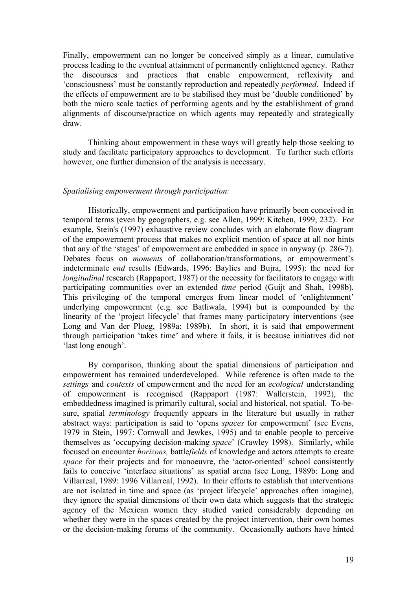Finally, empowerment can no longer be conceived simply as a linear, cumulative process leading to the eventual attainment of permanently enlightened agency. Rather the discourses and practices that enable empowerment, reflexivity and 'consciousness' must be constantly reproduction and repeatedly *performed*. Indeed if the effects of empowerment are to be stabilised they must be 'double conditioned' by both the micro scale tactics of performing agents and by the establishment of grand alignments of discourse/practice on which agents may repeatedly and strategically draw.

Thinking about empowerment in these ways will greatly help those seeking to study and facilitate participatory approaches to development. To further such efforts however, one further dimension of the analysis is necessary.

#### *Spatialising empowerment through participation:*

Historically, empowerment and participation have primarily been conceived in temporal terms (even by geographers, e.g. see Allen, 1999: Kitchen, 1999, 232). For example, Stein's (1997) exhaustive review concludes with an elaborate flow diagram of the empowerment process that makes no explicit mention of space at all nor hints that any of the 'stages' of empowerment are embedded in space in anyway (p. 286-7). Debates focus on *moments* of collaboration/transformations, or empowerment's indeterminate *end* results (Edwards, 1996: Baylies and Bujra, 1995): the need for *longitudinal* research (Rappaport, 1987) or the necessity for facilitators to engage with participating communities over an extended *time* period (Guijt and Shah, 1998b). This privileging of the temporal emerges from linear model of 'enlightenment' underlying empowerment (e.g. see Batliwala, 1994) but is compounded by the linearity of the 'project lifecycle' that frames many participatory interventions (see Long and Van der Ploeg, 1989a: 1989b). In short, it is said that empowerment through participation 'takes time' and where it fails, it is because initiatives did not 'last long enough'.

 By comparison, thinking about the spatial dimensions of participation and empowerment has remained underdeveloped. While reference is often made to the *settings* and *contexts* of empowerment and the need for an *ecological* understanding of empowerment is recognised (Rappaport (1987: Wallerstein, 1992), the embeddedness imagined is primarily cultural, social and historical, not spatial. To-besure, spatial *terminology* frequently appears in the literature but usually in rather abstract ways: participation is said to 'opens *spaces* for empowerment' (see Evens, 1979 in Stein, 1997: Cornwall and Jewkes, 1995) and to enable people to perceive themselves as 'occupying decision-making *space*' (Crawley 1998). Similarly, while focused on encounter *horizons,* battle*fields* of knowledge and actors attempts to create *space* for their projects and for manoeuvre, the 'actor-oriented' school consistently fails to conceive 'interface situations' as spatial arena (see Long, 1989b: Long and Villarreal, 1989: 1996 Villarreal, 1992). In their efforts to establish that interventions are not isolated in time and space (as 'project lifecycle' approaches often imagine), they ignore the spatial dimensions of their own data which suggests that the strategic agency of the Mexican women they studied varied considerably depending on whether they were in the spaces created by the project intervention, their own homes or the decision-making forums of the community. Occasionally authors have hinted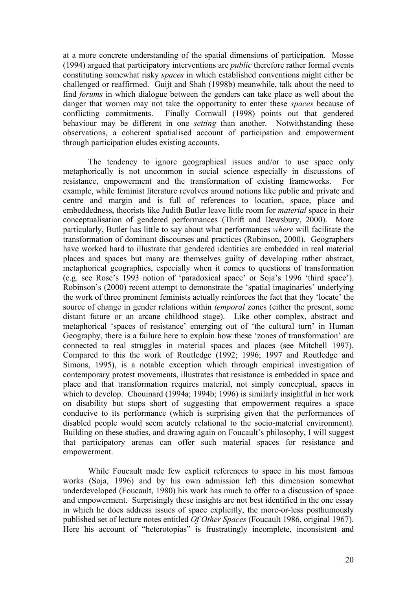at a more concrete understanding of the spatial dimensions of participation. Mosse (1994) argued that participatory interventions are *public* therefore rather formal events constituting somewhat risky *spaces* in which established conventions might either be challenged or reaffirmed. Guijt and Shah (1998b) meanwhile, talk about the need to find *forums* in which dialogue between the genders can take place as well about the danger that women may not take the opportunity to enter these *spaces* because of conflicting commitments. Finally Cornwall (1998) points out that gendered behaviour may be different in one *setting* than another. Notwithstanding these observations, a coherent spatialised account of participation and empowerment through participation eludes existing accounts.

The tendency to ignore geographical issues and/or to use space only metaphorically is not uncommon in social science especially in discussions of resistance, empowerment and the transformation of existing frameworks. For example, while feminist literature revolves around notions like public and private and centre and margin and is full of references to location, space, place and embeddedness, theorists like Judith Butler leave little room for *material* space in their conceptualisation of gendered performances (Thrift and Dewsbury, 2000). More particularly, Butler has little to say about what performances *where* will facilitate the transformation of dominant discourses and practices (Robinson, 2000). Geographers have worked hard to illustrate that gendered identities are embedded in real material places and spaces but many are themselves guilty of developing rather abstract, metaphorical geographies, especially when it comes to questions of transformation (e.g. see Rose's 1993 notion of 'paradoxical space' or Soja's 1996 'third space'). Robinson's (2000) recent attempt to demonstrate the 'spatial imaginaries' underlying the work of three prominent feminists actually reinforces the fact that they 'locate' the source of change in gender relations within *temporal* zones (either the present, some distant future or an arcane childhood stage). Like other complex, abstract and metaphorical 'spaces of resistance' emerging out of 'the cultural turn' in Human Geography, there is a failure here to explain how these 'zones of transformation' are connected to real struggles in material spaces and places (see Mitchell 1997). Compared to this the work of Routledge (1992; 1996; 1997 and Routledge and Simons, 1995), is a notable exception which through empirical investigation of contemporary protest movements, illustrates that resistance is embedded in space and place and that transformation requires material, not simply conceptual, spaces in which to develop. Chouinard (1994a; 1994b; 1996) is similarly insightful in her work on disability but stops short of suggesting that empowerment requires a space conducive to its performance (which is surprising given that the performances of disabled people would seem acutely relational to the socio-material environment). Building on these studies, and drawing again on Foucault's philosophy, I will suggest that participatory arenas can offer such material spaces for resistance and empowerment.

While Foucault made few explicit references to space in his most famous works (Soja, 1996) and by his own admission left this dimension somewhat underdeveloped (Foucault, 1980) his work has much to offer to a discussion of space and empowerment. Surprisingly these insights are not best identified in the one essay in which he does address issues of space explicitly, the more-or-less posthumously published set of lecture notes entitled *Of Other Spaces* (Foucault 1986, original 1967). Here his account of "heterotopias" is frustratingly incomplete, inconsistent and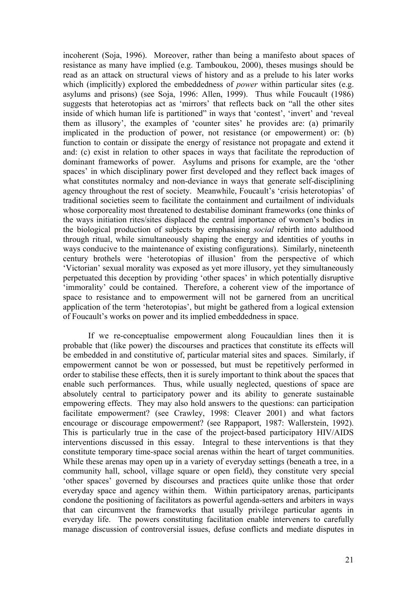incoherent (Soja, 1996). Moreover, rather than being a manifesto about spaces of resistance as many have implied (e.g. Tamboukou, 2000), theses musings should be read as an attack on structural views of history and as a prelude to his later works which (implicitly) explored the embeddedness of *power* within particular sites (e.g. asylums and prisons) (see Soja, 1996: Allen, 1999). Thus while Foucault (1986) suggests that heterotopias act as 'mirrors' that reflects back on "all the other sites inside of which human life is partitioned" in ways that 'contest', 'invert' and 'reveal them as illusory', the examples of 'counter sites' he provides are: (a) primarily implicated in the production of power, not resistance (or empowerment) or: (b) function to contain or dissipate the energy of resistance not propagate and extend it and: (c) exist in relation to other spaces in ways that facilitate the reproduction of dominant frameworks of power. Asylums and prisons for example, are the 'other spaces' in which disciplinary power first developed and they reflect back images of what constitutes normalcy and non-deviance in ways that generate self-disciplining agency throughout the rest of society. Meanwhile, Foucault's 'crisis heterotopias' of traditional societies seem to facilitate the containment and curtailment of individuals whose corporeality most threatened to destabilise dominant frameworks (one thinks of the ways initiation rites/sites displaced the central importance of women's bodies in the biological production of subjects by emphasising *social* rebirth into adulthood through ritual, while simultaneously shaping the energy and identities of youths in ways conducive to the maintenance of existing configurations). Similarly, nineteenth century brothels were 'heterotopias of illusion' from the perspective of which 'Victorian' sexual morality was exposed as yet more illusory, yet they simultaneously perpetuated this deception by providing 'other spaces' in which potentially disruptive 'immorality' could be contained. Therefore, a coherent view of the importance of space to resistance and to empowerment will not be garnered from an uncritical application of the term 'heterotopias', but might be gathered from a logical extension of Foucault's works on power and its implied embeddedness in space.

If we re-conceptualise empowerment along Foucauldian lines then it is probable that (like power) the discourses and practices that constitute its effects will be embedded in and constitutive of, particular material sites and spaces. Similarly, if empowerment cannot be won or possessed, but must be repetitively performed in order to stabilise these effects, then it is surely important to think about the spaces that enable such performances. Thus, while usually neglected, questions of space are absolutely central to participatory power and its ability to generate sustainable empowering effects. They may also hold answers to the questions: can participation facilitate empowerment? (see Crawley, 1998: Cleaver 2001) and what factors encourage or discourage empowerment? (see Rappaport, 1987: Wallerstein, 1992). This is particularly true in the case of the project-based participatory HIV/AIDS interventions discussed in this essay. Integral to these interventions is that they constitute temporary time-space social arenas within the heart of target communities. While these arenas may open up in a variety of everyday settings (beneath a tree, in a community hall, school, village square or open field), they constitute very special 'other spaces' governed by discourses and practices quite unlike those that order everyday space and agency within them. Within participatory arenas, participants condone the positioning of facilitators as powerful agenda-setters and arbiters in ways that can circumvent the frameworks that usually privilege particular agents in everyday life. The powers constituting facilitation enable interveners to carefully manage discussion of controversial issues, defuse conflicts and mediate disputes in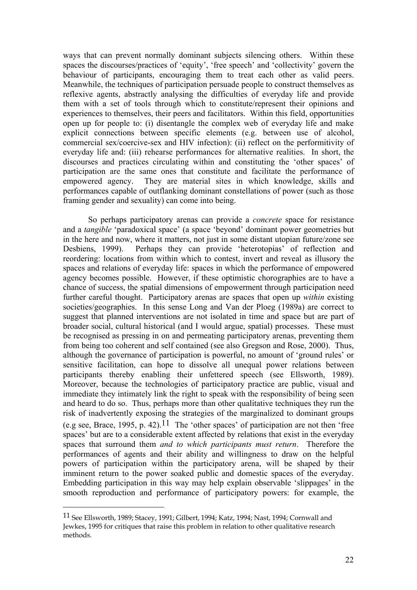ways that can prevent normally dominant subjects silencing others. Within these spaces the discourses/practices of 'equity', 'free speech' and 'collectivity' govern the behaviour of participants, encouraging them to treat each other as valid peers. Meanwhile, the techniques of participation persuade people to construct themselves as reflexive agents, abstractly analysing the difficulties of everyday life and provide them with a set of tools through which to constitute/represent their opinions and experiences to themselves, their peers and facilitators. Within this field, opportunities open up for people to: (i) disentangle the complex web of everyday life and make explicit connections between specific elements (e.g. between use of alcohol, commercial sex/coercive-sex and HIV infection): (ii) reflect on the performitivity of everyday life and: (iii) rehearse performances for alternative realities. In short, the discourses and practices circulating within and constituting the 'other spaces' of participation are the same ones that constitute and facilitate the performance of empowered agency. They are material sites in which knowledge, skills and performances capable of outflanking dominant constellations of power (such as those framing gender and sexuality) can come into being.

So perhaps participatory arenas can provide a *concrete* space for resistance and a *tangible* 'paradoxical space' (a space 'beyond' dominant power geometries but in the here and now, where it matters, not just in some distant utopian future/zone see Desbiens, 1999). Perhaps they can provide 'heterotopias' of reflection and reordering: locations from within which to contest, invert and reveal as illusory the spaces and relations of everyday life: spaces in which the performance of empowered agency becomes possible. However, if these optimistic chorographies are to have a chance of success, the spatial dimensions of empowerment through participation need further careful thought. Participatory arenas are spaces that open up *within* existing societies/geographies. In this sense Long and Van der Ploeg (1989a) are correct to suggest that planned interventions are not isolated in time and space but are part of broader social, cultural historical (and I would argue, spatial) processes. These must be recognised as pressing in on and permeating participatory arenas, preventing them from being too coherent and self contained (see also Gregson and Rose, 2000). Thus, although the governance of participation is powerful, no amount of 'ground rules' or sensitive facilitation, can hope to dissolve all unequal power relations between participants thereby enabling their unfettered speech (see Ellsworth, 1989). Moreover, because the technologies of participatory practice are public, visual and immediate they intimately link the right to speak with the responsibility of being seen and heard to do so. Thus, perhaps more than other qualitative techniques they run the risk of inadvertently exposing the strategies of the marginalized to dominant groups (e.g see, Brace, 1995, p. 42).<sup>11</sup> The 'other spaces' of participation are not then 'free spaces' but are to a considerable extent affected by relations that exist in the everyday spaces that surround them *and to which participants must return*. Therefore the performances of agents and their ability and willingness to draw on the helpful powers of participation within the participatory arena, will be shaped by their imminent return to the power soaked public and domestic spaces of the everyday. Embedding participation in this way may help explain observable 'slippages' in the smooth reproduction and performance of participatory powers: for example, the

<u>.</u>

<sup>11</sup> See Ellsworth, 1989; Stacey, 1991; Gilbert, 1994; Katz, 1994; Nast, 1994; Cornwall and Jewkes, 1995 for critiques that raise this problem in relation to other qualitative research methods.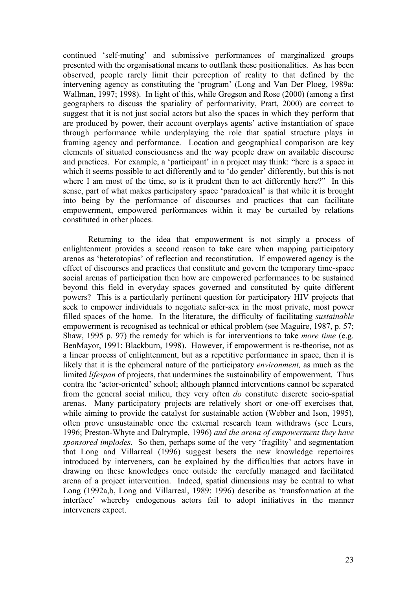continued 'self-muting' and submissive performances of marginalized groups presented with the organisational means to outflank these positionalities. As has been observed, people rarely limit their perception of reality to that defined by the intervening agency as constituting the 'program' (Long and Van Der Ploeg, 1989a: Wallman, 1997; 1998). In light of this, while Gregson and Rose (2000) (among a first geographers to discuss the spatiality of performativity, Pratt, 2000) are correct to suggest that it is not just social actors but also the spaces in which they perform that are produced by power, their account overplays agents' active instantiation of space through performance while underplaying the role that spatial structure plays in framing agency and performance. Location and geographical comparison are key elements of situated consciousness and the way people draw on available discourse and practices. For example, a 'participant' in a project may think: "here is a space in which it seems possible to act differently and to 'do gender' differently, but this is not where I am most of the time, so is it prudent then to act differently here?" In this sense, part of what makes participatory space 'paradoxical' is that while it is brought into being by the performance of discourses and practices that can facilitate empowerment, empowered performances within it may be curtailed by relations constituted in other places.

Returning to the idea that empowerment is not simply a process of enlightenment provides a second reason to take care when mapping participatory arenas as 'heterotopias' of reflection and reconstitution. If empowered agency is the effect of discourses and practices that constitute and govern the temporary time-space social arenas of participation then how are empowered performances to be sustained beyond this field in everyday spaces governed and constituted by quite different powers? This is a particularly pertinent question for participatory HIV projects that seek to empower individuals to negotiate safer-sex in the most private, most power filled spaces of the home. In the literature, the difficulty of facilitating *sustainable* empowerment is recognised as technical or ethical problem (see Maguire, 1987, p. 57; Shaw, 1995 p. 97) the remedy for which is for interventions to take *more time* (e.g. BenMayor, 1991: Blackburn, 1998). However, if empowerment is re-theorise, not as a linear process of enlightenment, but as a repetitive performance in space, then it is likely that it is the ephemeral nature of the participatory *environment,* as much as the limited *lifespan* of projects, that undermines the sustainability of empowerment. Thus contra the 'actor-oriented' school; although planned interventions cannot be separated from the general social milieu, they very often *do* constitute discrete socio-spatial arenas. Many participatory projects are relatively short or one-off exercises that, while aiming to provide the catalyst for sustainable action (Webber and Ison, 1995), often prove unsustainable once the external research team withdraws (see Leurs, 1996; Preston-Whyte and Dalrymple, 1996) *and the arena of empowerment they have sponsored implodes*. So then, perhaps some of the very 'fragility' and segmentation that Long and Villarreal (1996) suggest besets the new knowledge repertoires introduced by interveners, can be explained by the difficulties that actors have in drawing on these knowledges once outside the carefully managed and facilitated arena of a project intervention. Indeed, spatial dimensions may be central to what Long (1992a,b, Long and Villarreal, 1989: 1996) describe as 'transformation at the interface' whereby endogenous actors fail to adopt initiatives in the manner interveners expect.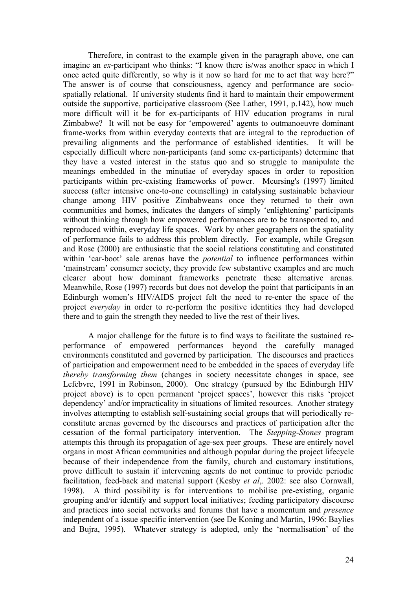Therefore, in contrast to the example given in the paragraph above, one can imagine an *ex*-participant who thinks: "I know there is/was another space in which I once acted quite differently, so why is it now so hard for me to act that way here?" The answer is of course that consciousness, agency and performance are sociospatially relational. If university students find it hard to maintain their empowerment outside the supportive, participative classroom (See Lather, 1991, p.142), how much more difficult will it be for ex-participants of HIV education programs in rural Zimbabwe? It will not be easy for 'empowered' agents to outmanoeuvre dominant frame-works from within everyday contexts that are integral to the reproduction of prevailing alignments and the performance of established identities. It will be especially difficult where non-participants (and some ex-participants) determine that they have a vested interest in the status quo and so struggle to manipulate the meanings embedded in the minutiae of everyday spaces in order to reposition participants within pre-existing frameworks of power. Meursing's (1997) limited success (after intensive one-to-one counselling) in catalysing sustainable behaviour change among HIV positive Zimbabweans once they returned to their own communities and homes, indicates the dangers of simply 'enlightening' participants without thinking through how empowered performances are to be transported to, and reproduced within, everyday life spaces. Work by other geographers on the spatiality of performance fails to address this problem directly. For example, while Gregson and Rose (2000) are enthusiastic that the social relations constituting and constituted within 'car-boot' sale arenas have the *potential* to influence performances within 'mainstream' consumer society, they provide few substantive examples and are much clearer about how dominant frameworks penetrate these alternative arenas. Meanwhile, Rose (1997) records but does not develop the point that participants in an Edinburgh women's HIV/AIDS project felt the need to re-enter the space of the project *everyday* in order to re-perform the positive identities they had developed there and to gain the strength they needed to live the rest of their lives.

A major challenge for the future is to find ways to facilitate the sustained reperformance of empowered performances beyond the carefully managed environments constituted and governed by participation. The discourses and practices of participation and empowerment need to be embedded in the spaces of everyday life *thereby transforming them* (changes in society necessitate changes in space, see Lefebvre, 1991 in Robinson, 2000). One strategy (pursued by the Edinburgh HIV project above) is to open permanent 'project spaces', however this risks 'project dependency' and/or impracticality in situations of limited resources. Another strategy involves attempting to establish self-sustaining social groups that will periodically reconstitute arenas governed by the discourses and practices of participation after the cessation of the formal participatory intervention. The *Stepping-Stones* program attempts this through its propagation of age-sex peer groups. These are entirely novel organs in most African communities and although popular during the project lifecycle because of their independence from the family, church and customary institutions, prove difficult to sustain if intervening agents do not continue to provide periodic facilitation, feed-back and material support (Kesby *et al*,. 2002: see also Cornwall, 1998). A third possibility is for interventions to mobilise pre-existing, organic grouping and/or identify and support local initiatives; feeding participatory discourse and practices into social networks and forums that have a momentum and *presence* independent of a issue specific intervention (see De Koning and Martin, 1996: Baylies and Bujra, 1995). Whatever strategy is adopted, only the 'normalisation' of the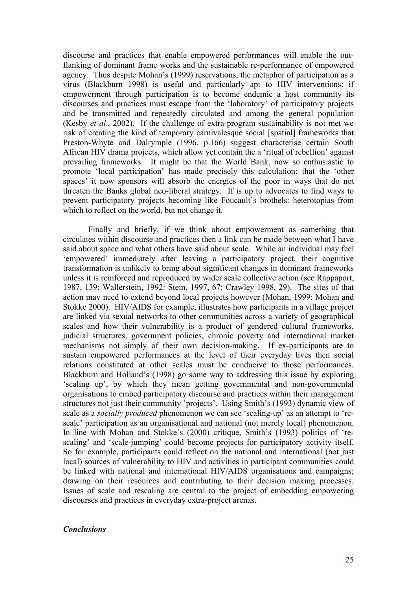discourse and practices that enable empowered performances will enable the outflanking of dominant frame works and the sustainable re-performance of empowered agency. Thus despite Mohan's (1999) reservations, the metaphor of participation as a virus (Blackburn 1998) is useful and particularly apt to HIV interventions: if empowerment through participation is to become endemic a host community its discourses and practices must escape from the 'laboratory' of participatory projects and be transmitted and repeatedly circulated and among the general population (Kesby *et al*., 2002). If the challenge of extra-program sustainability is not met we risk of creating the kind of temporary carnivalesque social [spatial] frameworks that Preston-Whyte and Dalrymple (1996, p.166) suggest characterise certain South African HIV drama projects, which allow yet contain the a 'ritual of rebellion' against prevailing frameworks. It might be that the World Bank, now so enthusiastic to promote 'local participation' has made precisely this calculation: that the 'other spaces' it now sponsors will absorb the energies of the poor in ways that do not threaten the Banks global neo-liberal strategy. If is up to advocates to find ways to prevent participatory projects becoming like Foucault's brothels: heterotopias from which to reflect on the world, but not change it.

Finally and briefly, if we think about empowerment as something that circulates within discourse and practices then a link can be made between what I have said about space and what others have said about scale. While an individual may feel 'empowered' immediately after leaving a participatory project, their cognitive transformation is unlikely to bring about significant changes in dominant frameworks unless it is reinforced and reproduced by wider scale collective action (see Rappaport, 1987, 139: Wallerstein, 1992: Stein, 1997, 67: Crawley 1998, 29). The sites of that action may need to extend beyond local projects however (Mohan, 1999: Mohan and Stokke 2000). HIV/AIDS for example, illustrates how participants in a village project are linked via sexual networks to other communities across a variety of geographical scales and how their vulnerability is a product of gendered cultural frameworks, judicial structures, government policies, chronic poverty and international market mechanisms not simply of their own decision-making. If ex-participants are to sustain empowered performances at the level of their everyday lives then social relations constituted at other scales must be conducive to those performances. Blackburn and Holland's (1998) go some way to addressing this issue by exploring 'scaling up', by which they mean getting governmental and non-governmental organisations to embed participatory discourse and practices within their management structures not just their community 'projects'. Using Smith's (1993) dynamic view of scale as a *socially produced* phenomenon we can see 'scaling-up' as an attempt to 'rescale' participation as an organisational and national (not merely local) phenomenon. In line with Mohan and Stokke's (2000) critique, Smith's (1993) politics of 'rescaling' and 'scale-jumping' could become projects for participatory activity itself. So for example, participants could reflect on the national and international (not just local) sources of vulnerability to HIV and activities in participant communities could be linked with national and international HIV/AIDS organisations and campaigns; drawing on their resources and contributing to their decision making processes. Issues of scale and rescaling are central to the project of embedding empowering discourses and practices in everyday extra-project arenas.

## *Conclusions*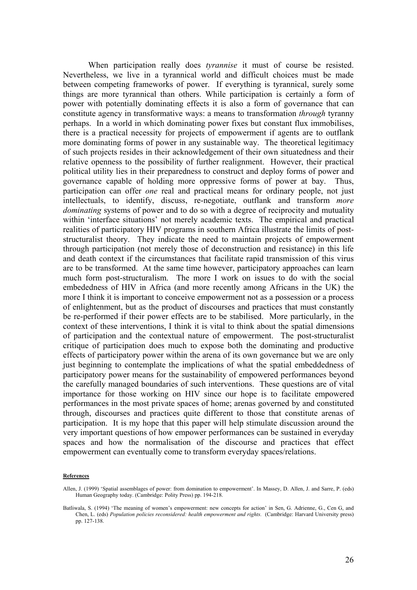When participation really does *tyrannise* it must of course be resisted. Nevertheless, we live in a tyrannical world and difficult choices must be made between competing frameworks of power. If everything is tyrannical, surely some things are more tyrannical than others. While participation is certainly a form of power with potentially dominating effects it is also a form of governance that can constitute agency in transformative ways: a means to transformation *through* tyranny perhaps. In a world in which dominating power fixes but constant flux immobilises, there is a practical necessity for projects of empowerment if agents are to outflank more dominating forms of power in any sustainable way. The theoretical legitimacy of such projects resides in their acknowledgement of their own situatedness and their relative openness to the possibility of further realignment. However, their practical political utility lies in their preparedness to construct and deploy forms of power and governance capable of holding more oppressive forms of power at bay. Thus, participation can offer *one* real and practical means for ordinary people, not just intellectuals, to identify, discuss, re-negotiate, outflank and transform *more dominating* systems of power and to do so with a degree of reciprocity and mutuality within 'interface situations' not merely academic texts. The empirical and practical realities of participatory HIV programs in southern Africa illustrate the limits of poststructuralist theory. They indicate the need to maintain projects of empowerment through participation (not merely those of deconstruction and resistance) in this life and death context if the circumstances that facilitate rapid transmission of this virus are to be transformed. At the same time however, participatory approaches can learn much form post-structuralism. The more I work on issues to do with the social embededness of HIV in Africa (and more recently among Africans in the UK) the more I think it is important to conceive empowerment not as a possession or a process of enlightenment, but as the product of discourses and practices that must constantly be re-performed if their power effects are to be stabilised. More particularly, in the context of these interventions, I think it is vital to think about the spatial dimensions of participation and the contextual nature of empowerment. The post-structuralist critique of participation does much to expose both the dominating and productive effects of participatory power within the arena of its own governance but we are only just beginning to contemplate the implications of what the spatial embeddedness of participatory power means for the sustainability of empowered performances beyond the carefully managed boundaries of such interventions. These questions are of vital importance for those working on HIV since our hope is to facilitate empowered performances in the most private spaces of home; arenas governed by and constituted through, discourses and practices quite different to those that constitute arenas of participation. It is my hope that this paper will help stimulate discussion around the very important questions of how empower performances can be sustained in everyday spaces and how the normalisation of the discourse and practices that effect empowerment can eventually come to transform everyday spaces/relations.

#### **References**

Allen, J. (1999) 'Spatial assemblages of power: from domination to empowerment'. In Massey, D. Allen, J. and Sarre, P. (eds) Human Geography today. (Cambridge: Polity Press) pp. 194-218.

Batliwala, S. (1994) 'The meaning of women's empowerment: new concepts for action' in Sen, G. Adrienne, G., Cen G, and Chen, L. (eds) *Population policies reconsidered: health empowerment and rights.* (Cambridge: Harvard University press) pp. 127-138.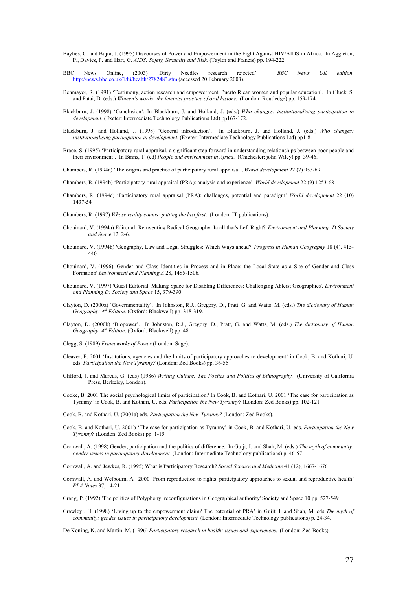- Baylies, C. and Bujra, J. (1995) Discourses of Power and Empowerment in the Fight Against HIV/AIDS in Africa. In Aggleton, P., Davies, P. and Hart, G. *AIDS: Safety, Sexuality and Risk*. (Taylor and Francis) pp. 194-222.
- BBC News Online, (2003) 'Dirty Needles research rejected'. *BBC News UK edition*. http://news.bbc.co.uk/1/hi/health/2782483.stm (accessed 20 February 2003).
- Benmayor, R. (1991) 'Testimony, action research and empowerment: Puerto Rican women and popular education'. In Gluck, S. and Patai, D. (eds.) *Women's words: the feminist practice of oral history*. (London: Routledge) pp. 159-174.
- Blackburn, J. (1998) 'Conclusion'. In Blackburn, J. and Holland, J. (eds.) *Who changes: institutionalising participation in development*. (Exeter: Intermediate Technology Publications Ltd) pp167-172.
- Blackburn, J. and Holland, J. (1998) 'General introduction'. In Blackburn, J. and Holland, J. (eds.) *Who changes: institutionalising participation in development*. (Exeter: Intermediate Technology Publications Ltd) pp1-8.
- Brace, S. (1995) 'Participatory rural appraisal, a significant step forward in understanding relationships between poor people and their environment'. In Binns, T. (ed) *People and environment in Africa*. (Chichester: john Wiley) pp. 39-46.
- Chambers, R. (1994a) 'The origins and practice of participatory rural appraisal', *World development* 22 (7) 953-69
- Chambers, R. (1994b) 'Participatory rural appraisal (PRA): analysis and experience' *World development* 22 (9) 1253-68
- Chambers, R. (1994c) 'Participatory rural appraisal (PRA): challenges, potential and paradigm' *World development* 22 (10) 1437-54
- Chambers, R. (1997) *Whose reality counts: putting the last first*. (London: IT publications).
- Chouinard, V. (1994a) Editorial: Reinventing Radical Geography: Ia all that's Left Right?' *Environment and Planning: D Society and Space* 12, 2-6.
- Chouinard, V. (1994b) 'Geography, Law and Legal Struggles: Which Ways ahead?' *Progress in Human Geography* 18 (4), 415- 440.
- Chouinard, V. (1996) 'Gender and Class Identities in Process and in Place: the Local State as a Site of Gender and Class Formation' *Environment and Planning A* 28, 1485-1506.
- Chouinard, V. (1997) 'Guest Editorial: Making Space for Disabling Differences: Challenging Ableist Geographies'. *Environment and Planning D: Society and Space* 15, 379-390.
- Clayton, D. (2000a) 'Governmentality'. In Johnston, R.J., Gregory, D., Pratt, G. and Watts, M. (eds.) *The dictionary of Human Geography: 4th Edition*. (Oxford: Blackwell) pp. 318-319.
- Clayton, D. (2000b) 'Biopower'. In Johnston, R.J., Gregory, D., Pratt, G. and Watts, M. (eds.) *The dictionary of Human Geography: 4th Edition*. (Oxford: Blackwell) pp. 48.
- Clegg, S. (1989) *Frameworks of Power* (London: Sage).
- Cleaver, F. 2001 'Institutions, agencies and the limits of participatory approaches to development' in Cook, B. and Kothari, U. eds. *Participation the New Tyranny?* (London: Zed Books) pp. 36-55
- Clifford, J. and Marcus, G. (eds) (1986) *Writing Culture; The Poetics and Politics of Ethnography.* (University of California Press, Berkeley, London).
- Cooke, B. 2001 The social psychological limits of participation? In Cook, B. and Kothari, U. 2001 'The case for participation as Tyranny' in Cook, B. and Kothari, U. eds. *Participation the New Tyranny?* (London: Zed Books) pp. 102-121

Cook, B. and Kothari, U. (2001a) eds. *Participation the New Tyranny?* (London: Zed Books).

- Cook, B. and Kothari, U. 2001b 'The case for participation as Tyranny' in Cook, B. and Kothari, U. eds. *Participation the New Tyranny?* (London: Zed Books) pp. 1-15
- Cornwall, A. (1998) Gender, participation and the politics of difference. In Guijt, I. and Shah, M. (eds.) *The myth of community: gender issues in participatory development* (London: Intermediate Technology publications) p. 46-57.

Cornwall, A. and Jewkes, R. (1995) What is Participatory Research? *Social Science and Medicine* 41 (12), 1667-1676

- Cornwall, A. and Welbourn, A. 2000 'From reproduction to rights: participatory approaches to sexual and reproductive health' *PLA Notes* 37, 14-21
- Crang, P. (1992) 'The politics of Polyphony: reconfigurations in Geographical authority' Society and Space 10 pp. 527-549
- Crawley . H. (1998) 'Living up to the empowerment claim? The potential of PRA' in Guijt, I. and Shah, M. eds *The myth of community: gender issues in participatory development* (London: Intermediate Technology publications) p. 24-34.

De Koning, K. and Martin, M. (1996) *Participatory research in health: issues and experiences*. (London: Zed Books).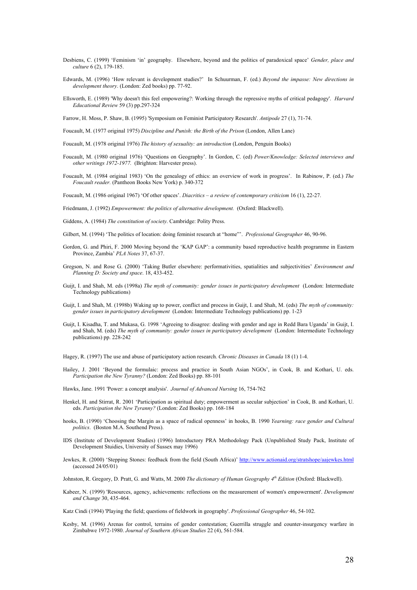- Desbiens, C. (1999) 'Feminism 'in' geography. Elsewhere, beyond and the politics of paradoxical space' *Gender, place and culture* 6 (2), 179-185.
- Edwards, M. (1996) 'How relevant is development studies?' In Schuurman, F. (ed.) *Beyond the impasse: New directions in development theory*. (London: Zed books) pp. 77-92.
- Ellsworth, E. (1989) 'Why doesn't this feel empowering?: Working through the repressive myths of critical pedagogy'. *Harvard Educational Review* 59 (3) pp.297-324

Farrow, H. Moss, P. Shaw, B. (1995) 'Symposium on Feminist Participatory Research'. *Antipode* 27 (1), 71-74.

- Foucault, M. (1977 original 1975) *Discipline and Punish: the Birth of the Prison* (London, Allen Lane)
- Foucault, M. (1978 original 1976) *The history of sexuality: an introduction* (London, Penguin Books)
- Foucault, M. (1980 original 1976) 'Questions on Geography'. In Gordon, C. (ed) *Power/Knowledge: Selected interviews and other writings 1972-1977.* (Brighton: Harvester press).
- Foucault, M. (1984 original 1983) 'On the genealogy of ethics: an overview of work in progress'. In Rabinow, P. (ed.) *The Foucault reader.* (Pantheon Books New York) p. 340-372

Foucault, M. (1986 original 1967) 'Of other spaces'. *Diacritics – a review of contemporary criticism* 16 (1), 22-27.

Friedmann, J. (1992) *Empowerment: the politics of alternative development.* (Oxford: Blackwell).

- Giddens, A. (1984) *The constitution of society*. Cambridge: Polity Press.
- Gilbert, M. (1994) 'The politics of location: doing feminist research at "home"'. *Professional Geographer* 46, 90-96.
- Gordon, G. and Phiri, F. 2000 Moving beyond the 'KAP GAP': a community based reproductive health programme in Eastern Province, Zambia' *PLA Notes* 37, 67-37.
- Gregson, N. and Rose G. (2000) 'Taking Butler elsewhere: performativities, spatialities and subjectivities' *Environment and Planning D: Society and space*. 18, 433-452.
- Guijt, I. and Shah, M. eds (1998a) *The myth of community: gender issues in participatory development* (London: Intermediate Technology publications)
- Guijt, I. and Shah, M. (1998b) Waking up to power, conflict and process in Guijt, I. and Shah, M. (eds) *The myth of community: gender issues in participatory development* (London: Intermediate Technology publications) pp. 1-23
- Guijt, I. Kisadha, T. and Mukasa, G. 1998 'Agreeing to disagree: dealing with gender and age in Redd Bara Uganda' in Guijt, I. and Shah, M. (eds) *The myth of community: gender issues in participatory development* (London: Intermediate Technology publications) pp. 228-242

Hagey, R. (1997) The use and abuse of participatory action research. *Chronic Diseases in Canada* 18 (1) 1-4.

Hailey, J. 2001 'Beyond the formulaic: process and practice in South Asian NGOs', in Cook, B. and Kothari, U. eds. *Participation the New Tyranny?* (London: Zed Books) pp. 88-101

Hawks, Jane. 1991 'Power: a concept analysis'. *Journal of Advanced Nursing* 16, 754-762

- Henkel, H. and Stirrat, R. 2001 'Participation as spiritual duty; empowerment as secular subjection' in Cook, B. and Kothari, U. eds. *Participation the New Tyranny?* (London: Zed Books) pp. 168-184
- hooks, B. (1990) 'Choosing the Margin as a space of radical openness' in hooks, B. 1990 *Yearning: race gender and Cultural politics*. (Boston M.A. Southend Press).
- IDS (Institute of Development Studies) (1996) Introductory PRA Methodology Pack (Unpublished Study Pack, Institute of Development Stuidies, University of Sussex may 1996)
- Jewkes, R. (2000) 'Stepping Stones: feedback from the field (South Africa)' http://www.actionaid.org/stratshope/aajewkes.html (accessed 24/05/01)

Johnston, R. Gregory, D. Pratt, G. and Watts, M. 2000 *The dictionary of Human Geography 4th Edition* (Oxford: Blackwell).

Kabeer, N. (1999) 'Resources, agency, achievements: reflections on the measurement of women's empowerment'. *Development and Change* 30, 435-464.

Katz Cindi (1994) 'Playing the field; questions of fieldwork in geography'. *Professional Geographer* 46, 54-102.

Kesby, M. (1996) Arenas for control, terrains of gender contestation; Guerrilla struggle and counter-insurgency warfare in Zimbabwe 1972-1980. *Journal of Southern African Studies* 22 (4), 561-584.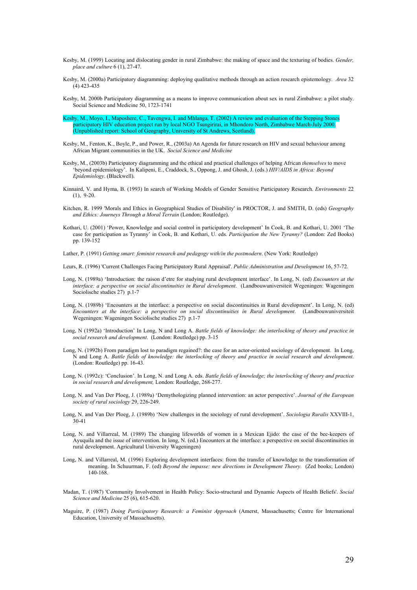- Kesby, M. (1999) Locating and dislocating gender in rural Zimbabwe: the making of space and the texturing of bodies. *Gender, place and culture* 6 (1), 27-47.
- Kesby, M. (2000a) Participatory diagramming: deploying qualitative methods through an action research epistemology. *Area* 32 (4) 423-435
- Kesby, M. 2000b Participatory diagramming as a means to improve communication about sex in rural Zimbabwe: a pilot study. Social Science and Medicine 50, 1723-1741
- Kesby, M., Moyo, I., Maposhere, C., Tavengwa, I. and Mhlanga, T. (2002) A review and evaluation of the Stepping Stones participatory HIV education project run by local NGO Tsungirirai, in Mhondoro North, Zimbabwe March-July 2000. (Unpublished report: School of Geography, University of St Andrews, Scotland).
- Kesby, M., Fenton, K., Boyle, P., and Power, R., (2003a) An Agenda for future research on HIV and sexual behaviour among African Migrant communities in the UK. *Social Science and Medicine*
- Kesby, M., (2003b) Participatory diagramming and the ethical and practical challenges of helping African *themselves* to move 'beyond epidemiology'. In Kalipeni, E., Craddock, S., Oppong, J. and Ghosh, J. (eds.) *HIV/AIDS in Africa: Beyond Epidemiology*. (Blackwell).
- Kinnaird, V. and Hyma, B. (1993) In search of Working Models of Gender Sensitive Participatory Research. *Environments* 22  $(1)$ , 9-20.
- Kitchen, R. 1999 'Morals and Ethics in Geographical Studies of Disability' in PROCTOR, J. and SMITH, D. (eds) *Geography and Ethics: Journeys Through a Moral Terrain* (London; Routledge).
- Kothari, U. (2001) 'Power, Knowledge and social control in participatory development' In Cook, B. and Kothari, U. 2001 'The case for participation as Tyranny' in Cook, B. and Kothari, U. eds. *Participation the New Tyranny?* (London: Zed Books) pp. 139-152
- Lather, P. (1991) *Getting smart: feminist research and pedagogy with/in the postmodern*. (New York: Routledge)
- Leurs, R. (1996) 'Current Challenges Facing Participatory Rural Appraisal'. *Public Administration and Development* 16, 57-72.
- Long, N. (1989a) 'Introduction: the raison d'etre for studying rural development interface'. In Long, N. (ed) *Encounters at the interface: a perspective on social discontinuities in Rural development*. (Landbouwuniversiteit Wegeningen: Wageningen Sociolische studies 27) p.1-7
- Long, N. (1989b) 'Encounters at the interface: a perspective on social discontinuities in Rural development'. In Long, N. (ed) *Encounters at the interface: a perspective on social discontinuities in Rural development*. (Landbouwuniversiteit Wegeningen: Wageningen Sociolische studies 27) p.1-7
- Long, N (1992a) 'Introduction' In Long, N and Long A. *Battle fields of knowledge: the interlocking of theory and practice in social research and development*. (London: Routledge) pp. 3-15
- Long, N. (1992b) From paradigm lost to paradigm regained?: the case for an actor-oriented sociology of development. In Long, N and Long A. *Battle fields of knowledge: the interlocking of theory and practice in social research and development*. (London: Routledge) pp. 16-43.
- Long, N. (1992c): 'Conclusion'. In Long, N. and Long A. eds. *Battle fields of knowledge; the interlocking of theory and practice in social research and development,* London: Routledge, 268-277.
- Long, N. and Van Der Ploeg, J. (1989a) 'Demythologizing planned intervention: an actor perspective'. *Journal of the European society of rural sociology* 29, 226-249.
- Long, N. and Van Der Ploeg, J. (1989b) 'New challenges in the sociology of rural development'. *Sociologia Ruralis* XXVIII-1,  $30 - 41$
- Long, N. and Villarreal, M. (1989) The changing lifeworlds of women in a Mexican Ejido: the case of the bee-keepers of Ayuquila and the issue of intervention. In long, N. (ed.) Encounters at the interface: a perspective on social discontinuities in rural development. Agricultural University Wageningen)
- Long, N. and Villarreal, M. (1996) Exploring development interfaces: from the transfer of knowledge to the transformation of meaning. In Schuurman, F. (ed) *Beyond the impasse: new directions in Development Theory.* (Zed books; London) 140-168.
- Madan, T. (1987) 'Community Involvement in Health Policy: Socio-structural and Dynamic Aspects of Health Beliefs'. *Social Science and Medicine* 25 (6), 615-620.
- Maguire, P. (1987) *Doing Participatory Research: a Feminist Approach* (Amerst, Massachusetts; Centre for International Education, University of Massachusetts).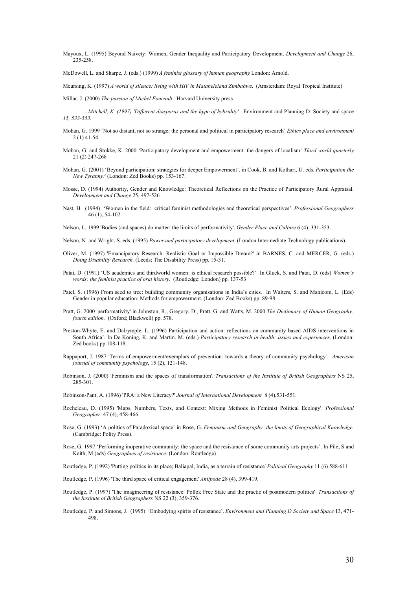Mayoux, L. (1995) Beyond Naivety: Women, Gender Inequality and Participatory Development. *Development and Change* 26, 235-258.

McDowell, L. and Sharpe, J. (eds.) (1999) *A feminist glossary of human geography* London: Arnold.

Meursing, K. (1997) *A world of silence: living with HIV in Matabeleland Zimbabwe*. (Amsterdam: Royal Tropical Institute)

Millar, J. (2000) *The passion of Michel Foucault*. Harvard University press.

- *Mitchell, K. (1997) 'Different diasporas and the hype of hybridity'.* Environment and Planning D: Society and space *15, 533-553.*
- Mohan, G. 1999 'Not so distant, not so strange: the personal and political in participatory research' *Ethics place and environment* 2 (1) 41-54
- Mohan, G. and Stokke, K. 2000 'Participatory development and empowerment: the dangers of localism' *Third world quarterly* 21 (2) 247-268
- Mohan, G. (2001) 'Beyond participation: strategies for deeper Empowerment'. in Cook, B. and Kothari, U. eds. *Participation the New Tyranny?* (London: Zed Books) pp. 153-167.
- Mosse, D. (1994) Authority, Gender and Knowledge: Theoretical Reflections on the Practice of Participatory Rural Appraisal. *Development and Change* 25, 497-526
- Nast, H. (1994) 'Women in the field: critical feminist methodologies and theoretical perspectives'. *Professional Geographers* 46 (1), 54-102.
- Nelson, L, 1999 'Bodies (and spaces) do matter: the limits of performativity'. *Gender Place and Culture* 6 (4), 331-353.
- Nelson, N. and Wright, S. eds. (1995) *Power and participatory development*. (London Intermediate Technology publications).
- Oliver, M. (1997) 'Emancipatory Research: Realistic Goal or Impossible Dream?' in BARNES, C. and MERCER, G. (eds.) *Doing Disability Research.* (Leeds; The Disability Press) pp. 15-31.
- Patai, D. (1991) 'US academics and thirdworld women: is ethical research possible?' In Gluck, S. and Patai, D. (eds) *Women's words: the feminist practice of oral history.* (Routledge: London) pp. 137-53
- Patel, S. (1996) From seed to tree: building community organisations in India's cities. In Walters, S. and Manicom, L. (Eds) Gender in popular education: Methods for empowerment. (London: Zed Books) pp. 89-98.
- Pratt, G. 2000 'performativity' in Johnston, R., Gregory, D., Pratt, G. and Watts, M. 2000 *The Dictionary of Human Geography: fourth edition.* (Oxford; Blackwell) pp. 578.
- Preston-Whyte, E. and Dalrymple, L. (1996) Participation and action: reflections on community based AIDS interventions in South Africa'. In De Koning, K. and Martin. M. (eds.) *Participatory research in health: issues and experiences*. (London: Zed books) pp.108-118.
- Rappaport, J. 1987 'Terms of empowerment/exemplars of prevention: towards a theory of community psychology'. *American journal of community psychology*, 15 (2), 121-148.
- Robinson, J. (2000) 'Feminism and the spaces of transformation'. *Transactions of the Institute of British Geographers* NS 25, 285-301.

Robinson-Pant, A. (1996) 'PRA: a New Literacy?' *Journal of International Development* 8 (4),531-551.

- Rocheleau, D. (1995) 'Maps, Numbers, Texts, and Context: Mixing Methods in Feminist Political Ecology'. *Professional Geographer* 47 (4), 458-466.
- Rose, G. (1993) 'A politics of Paradoxical space' in Rose, G. *Feminism and Geography: the limits of Geographical Knowledge*. (Cambridge: Polity Press).
- Rose, G. 1997 'Performing inoperative community: the space and the resistance of some community arts projects'. In Pile, S and Keith, M (eds) *Geographies of resistance*. (London: Routledge)

Routledge, P. (1992) 'Putting politics in its place; Baliapal, India, as a terrain of resistance' *Political Geography* 11 (6) 588-611

Routledge, P. (1996) 'The third space of critical engagement' *Antipode* 28 (4), 399-419.

- Routledge, P. (1997) 'The imagineering of resistance: Pollok Free State and the practic of postmodern politics' *Transactions of the Institute of British Geographers* NS 22 (3), 359-376.
- Routledge, P. and Simons, J. (1995) 'Embodying spirits of resistance'. *Environment and Planning D Society and Space* 13, 471- 498.